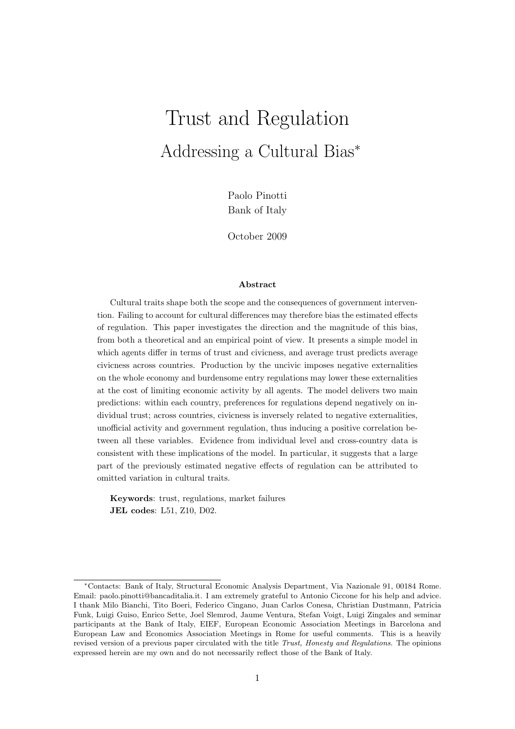# Trust and Regulation Addressing a Cultural Bias<sup>∗</sup>

Paolo Pinotti Bank of Italy

October 2009

#### Abstract

Cultural traits shape both the scope and the consequences of government intervention. Failing to account for cultural differences may therefore bias the estimated effects of regulation. This paper investigates the direction and the magnitude of this bias, from both a theoretical and an empirical point of view. It presents a simple model in which agents differ in terms of trust and civicness, and average trust predicts average civicness across countries. Production by the uncivic imposes negative externalities on the whole economy and burdensome entry regulations may lower these externalities at the cost of limiting economic activity by all agents. The model delivers two main predictions: within each country, preferences for regulations depend negatively on individual trust; across countries, civicness is inversely related to negative externalities, unofficial activity and government regulation, thus inducing a positive correlation between all these variables. Evidence from individual level and cross-country data is consistent with these implications of the model. In particular, it suggests that a large part of the previously estimated negative effects of regulation can be attributed to omitted variation in cultural traits.

Keywords: trust, regulations, market failures JEL codes: L51, Z10, D02.

<sup>∗</sup>Contacts: Bank of Italy, Structural Economic Analysis Department, Via Nazionale 91, 00184 Rome. Email: paolo.pinotti@bancaditalia.it. I am extremely grateful to Antonio Ciccone for his help and advice. I thank Milo Bianchi, Tito Boeri, Federico Cingano, Juan Carlos Conesa, Christian Dustmann, Patricia Funk, Luigi Guiso, Enrico Sette, Joel Slemrod, Jaume Ventura, Stefan Voigt, Luigi Zingales and seminar participants at the Bank of Italy, EIEF, European Economic Association Meetings in Barcelona and European Law and Economics Association Meetings in Rome for useful comments. This is a heavily revised version of a previous paper circulated with the title Trust, Honesty and Regulations. The opinions expressed herein are my own and do not necessarily reflect those of the Bank of Italy.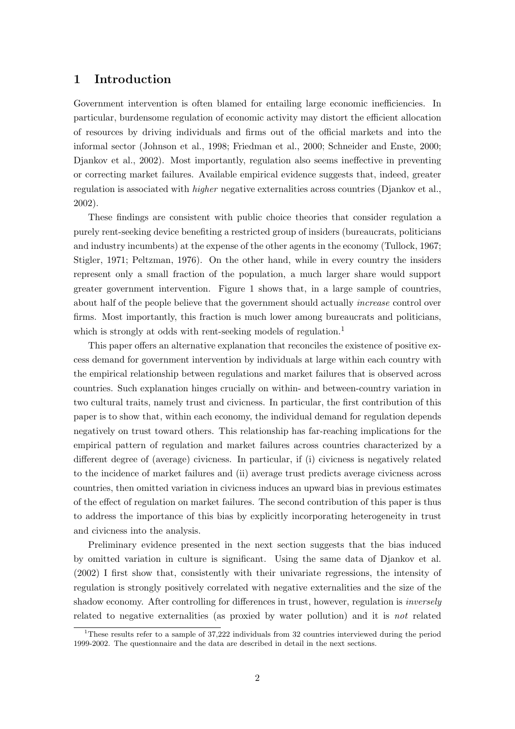## 1 Introduction

Government intervention is often blamed for entailing large economic inefficiencies. In particular, burdensome regulation of economic activity may distort the efficient allocation of resources by driving individuals and firms out of the official markets and into the informal sector (Johnson et al., 1998; Friedman et al., 2000; Schneider and Enste, 2000; Djankov et al., 2002). Most importantly, regulation also seems ineffective in preventing or correcting market failures. Available empirical evidence suggests that, indeed, greater regulation is associated with higher negative externalities across countries (Djankov et al., 2002).

These findings are consistent with public choice theories that consider regulation a purely rent-seeking device benefiting a restricted group of insiders (bureaucrats, politicians and industry incumbents) at the expense of the other agents in the economy (Tullock, 1967; Stigler, 1971; Peltzman, 1976). On the other hand, while in every country the insiders represent only a small fraction of the population, a much larger share would support greater government intervention. Figure 1 shows that, in a large sample of countries, about half of the people believe that the government should actually *increase* control over firms. Most importantly, this fraction is much lower among bureaucrats and politicians, which is strongly at odds with rent-seeking models of regulation.<sup>1</sup>

This paper offers an alternative explanation that reconciles the existence of positive excess demand for government intervention by individuals at large within each country with the empirical relationship between regulations and market failures that is observed across countries. Such explanation hinges crucially on within- and between-country variation in two cultural traits, namely trust and civicness. In particular, the first contribution of this paper is to show that, within each economy, the individual demand for regulation depends negatively on trust toward others. This relationship has far-reaching implications for the empirical pattern of regulation and market failures across countries characterized by a different degree of (average) civicness. In particular, if (i) civicness is negatively related to the incidence of market failures and (ii) average trust predicts average civicness across countries, then omitted variation in civicness induces an upward bias in previous estimates of the effect of regulation on market failures. The second contribution of this paper is thus to address the importance of this bias by explicitly incorporating heterogeneity in trust and civicness into the analysis.

Preliminary evidence presented in the next section suggests that the bias induced by omitted variation in culture is significant. Using the same data of Djankov et al. (2002) I first show that, consistently with their univariate regressions, the intensity of regulation is strongly positively correlated with negative externalities and the size of the shadow economy. After controlling for differences in trust, however, regulation is inversely related to negative externalities (as proxied by water pollution) and it is not related

<sup>&</sup>lt;sup>1</sup>These results refer to a sample of 37.222 individuals from 32 countries interviewed during the period 1999-2002. The questionnaire and the data are described in detail in the next sections.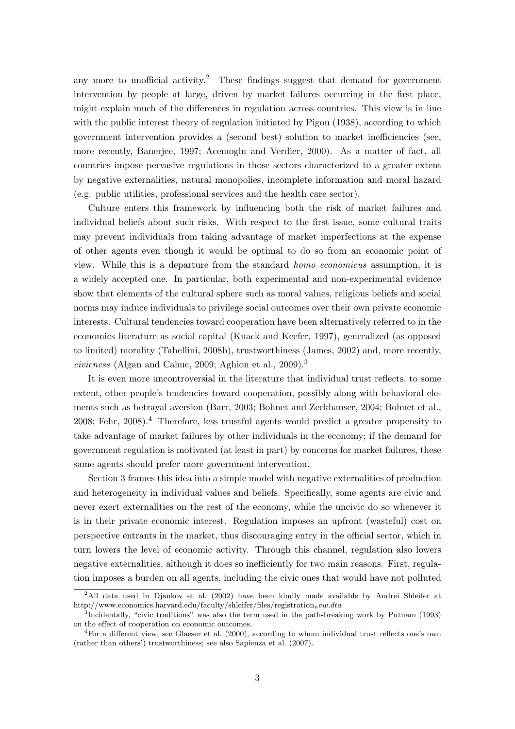any more to unofficial activity.<sup>2</sup> These findings suggest that demand for government intervention by people at large, driven by market failures occurring in the first place, might explain much of the differences in regulation across countries. This view is in line with the public interest theory of regulation initiated by Pigou (1938), according to which government intervention provides a (second best) solution to market inefficiencies (see, more recently, Banerjee, 1997; Acemoglu and Verdier, 2000). As a matter of fact, all countries impose pervasive regulations in those sectors characterized to a greater extent by negative externalities, natural monopolies, incomplete information and moral hazard (e.g. public utilities, professional services and the health care sector).

Culture enters this framework by influencing both the risk of market failures and individual beliefs about such risks. With respect to the first issue, some cultural traits may prevent individuals from taking advantage of market imperfections at the expense of other agents even though it would be optimal to do so from an economic point of view. While this is a departure from the standard homo economicus assumption, it is a widely accepted one. In particular, both experimental and non-experimental evidence show that elements of the cultural sphere such as moral values, religious beliefs and social norms may induce individuals to privilege social outcomes over their own private economic interests. Cultural tendencies toward cooperation have been alternatively referred to in the economics literature as social capital (Knack and Keefer, 1997), generalized (as opposed to limited) morality (Tabellini, 2008b), trustworthiness (James, 2002) and, more recently, civicness (Algan and Cahuc, 2009; Aghion et al., 2009).<sup>3</sup>

It is even more uncontroversial in the literature that individual trust reflects, to some extent, other people's tendencies toward cooperation, possibly along with behavioral elements such as betrayal aversion (Barr, 2003; Bohnet and Zeckhauser, 2004; Bohnet et al., 2008; Fehr, 2008).<sup>4</sup> Therefore, less trustful agents would predict a greater propensity to take advantage of market failures by other individuals in the economy; if the demand for government regulation is motivated (at least in part) by concerns for market failures, these same agents should prefer more government intervention.

Section 3 frames this idea into a simple model with negative externalities of production and heterogeneity in individual values and beliefs. Specifically, some agents are civic and never exert externalities on the rest of the economy, while the uncivic do so whenever it is in their private economic interest. Regulation imposes an upfront (wasteful) cost on perspective entrants in the market, thus discouraging entry in the official sector, which in turn lowers the level of economic activity. Through this channel, regulation also lowers negative externalities, although it does so inefficiently for two main reasons. First, regulation imposes a burden on all agents, including the civic ones that would have not polluted

<sup>2</sup>All data used in Djankov et al. (2002) have been kindly made available by Andrei Shleifer at http://www.economics.harvard.edu/faculty/shleifer/files/registration<sub>new.dta</sub>

<sup>3</sup> Incidentally, "civic traditions" was also the term used in the path-breaking work by Putnam (1993) on the effect of cooperation on economic outcomes.

<sup>4</sup>For a different view, see Glaeser et al. (2000), according to whom individual trust reflects one's own (rather than others') trustworthiness; see also Sapienza et al. (2007).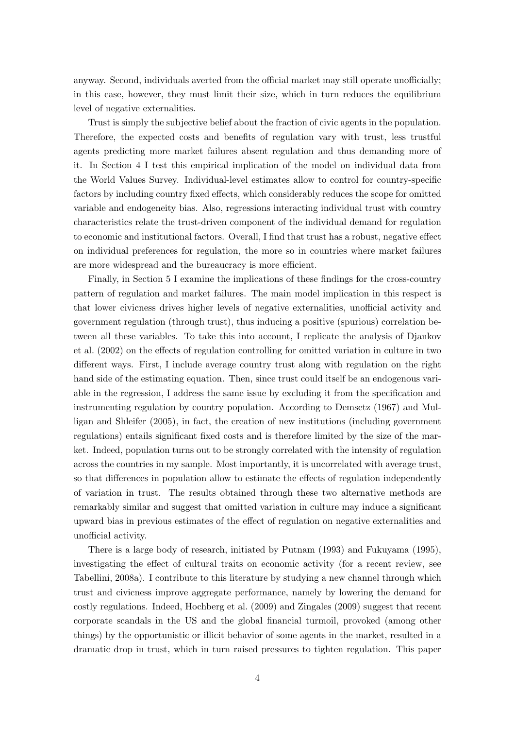anyway. Second, individuals averted from the official market may still operate unofficially; in this case, however, they must limit their size, which in turn reduces the equilibrium level of negative externalities.

Trust is simply the subjective belief about the fraction of civic agents in the population. Therefore, the expected costs and benefits of regulation vary with trust, less trustful agents predicting more market failures absent regulation and thus demanding more of it. In Section 4 I test this empirical implication of the model on individual data from the World Values Survey. Individual-level estimates allow to control for country-specific factors by including country fixed effects, which considerably reduces the scope for omitted variable and endogeneity bias. Also, regressions interacting individual trust with country characteristics relate the trust-driven component of the individual demand for regulation to economic and institutional factors. Overall, I find that trust has a robust, negative effect on individual preferences for regulation, the more so in countries where market failures are more widespread and the bureaucracy is more efficient.

Finally, in Section 5 I examine the implications of these findings for the cross-country pattern of regulation and market failures. The main model implication in this respect is that lower civicness drives higher levels of negative externalities, unofficial activity and government regulation (through trust), thus inducing a positive (spurious) correlation between all these variables. To take this into account, I replicate the analysis of Djankov et al. (2002) on the effects of regulation controlling for omitted variation in culture in two different ways. First, I include average country trust along with regulation on the right hand side of the estimating equation. Then, since trust could itself be an endogenous variable in the regression, I address the same issue by excluding it from the specification and instrumenting regulation by country population. According to Demsetz (1967) and Mulligan and Shleifer (2005), in fact, the creation of new institutions (including government regulations) entails significant fixed costs and is therefore limited by the size of the market. Indeed, population turns out to be strongly correlated with the intensity of regulation across the countries in my sample. Most importantly, it is uncorrelated with average trust, so that differences in population allow to estimate the effects of regulation independently of variation in trust. The results obtained through these two alternative methods are remarkably similar and suggest that omitted variation in culture may induce a significant upward bias in previous estimates of the effect of regulation on negative externalities and unofficial activity.

There is a large body of research, initiated by Putnam (1993) and Fukuyama (1995), investigating the effect of cultural traits on economic activity (for a recent review, see Tabellini, 2008a). I contribute to this literature by studying a new channel through which trust and civicness improve aggregate performance, namely by lowering the demand for costly regulations. Indeed, Hochberg et al. (2009) and Zingales (2009) suggest that recent corporate scandals in the US and the global financial turmoil, provoked (among other things) by the opportunistic or illicit behavior of some agents in the market, resulted in a dramatic drop in trust, which in turn raised pressures to tighten regulation. This paper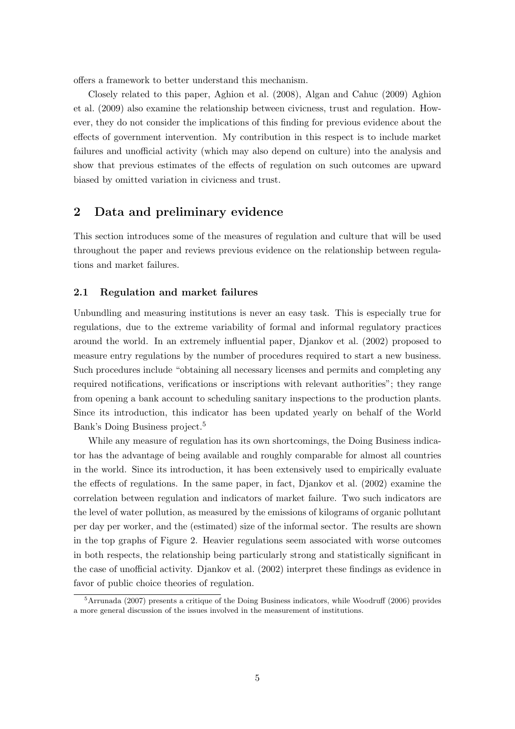offers a framework to better understand this mechanism.

Closely related to this paper, Aghion et al. (2008), Algan and Cahuc (2009) Aghion et al. (2009) also examine the relationship between civicness, trust and regulation. However, they do not consider the implications of this finding for previous evidence about the effects of government intervention. My contribution in this respect is to include market failures and unofficial activity (which may also depend on culture) into the analysis and show that previous estimates of the effects of regulation on such outcomes are upward biased by omitted variation in civicness and trust.

# 2 Data and preliminary evidence

This section introduces some of the measures of regulation and culture that will be used throughout the paper and reviews previous evidence on the relationship between regulations and market failures.

#### 2.1 Regulation and market failures

Unbundling and measuring institutions is never an easy task. This is especially true for regulations, due to the extreme variability of formal and informal regulatory practices around the world. In an extremely influential paper, Djankov et al. (2002) proposed to measure entry regulations by the number of procedures required to start a new business. Such procedures include "obtaining all necessary licenses and permits and completing any required notifications, verifications or inscriptions with relevant authorities"; they range from opening a bank account to scheduling sanitary inspections to the production plants. Since its introduction, this indicator has been updated yearly on behalf of the World Bank's Doing Business project.<sup>5</sup>

While any measure of regulation has its own shortcomings, the Doing Business indicator has the advantage of being available and roughly comparable for almost all countries in the world. Since its introduction, it has been extensively used to empirically evaluate the effects of regulations. In the same paper, in fact, Djankov et al. (2002) examine the correlation between regulation and indicators of market failure. Two such indicators are the level of water pollution, as measured by the emissions of kilograms of organic pollutant per day per worker, and the (estimated) size of the informal sector. The results are shown in the top graphs of Figure 2. Heavier regulations seem associated with worse outcomes in both respects, the relationship being particularly strong and statistically significant in the case of unofficial activity. Djankov et al. (2002) interpret these findings as evidence in favor of public choice theories of regulation.

 $5$ Arrunada (2007) presents a critique of the Doing Business indicators, while Woodruff (2006) provides a more general discussion of the issues involved in the measurement of institutions.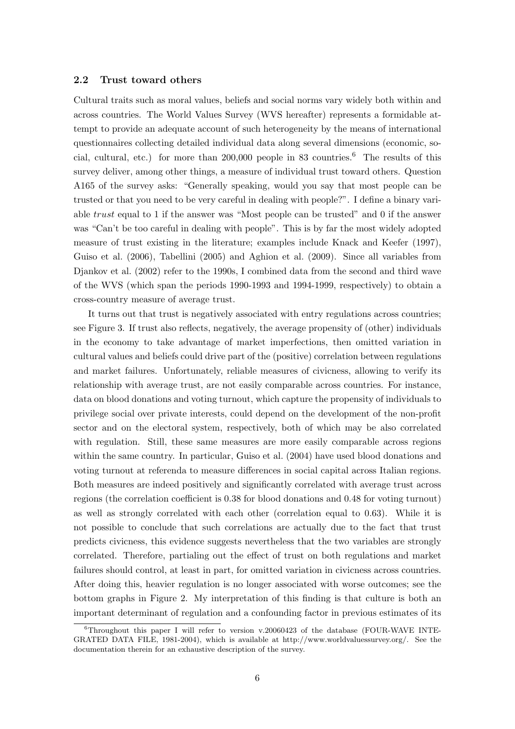#### 2.2 Trust toward others

Cultural traits such as moral values, beliefs and social norms vary widely both within and across countries. The World Values Survey (WVS hereafter) represents a formidable attempt to provide an adequate account of such heterogeneity by the means of international questionnaires collecting detailed individual data along several dimensions (economic, social, cultural, etc.) for more than 200,000 people in 83 countries.<sup>6</sup> The results of this survey deliver, among other things, a measure of individual trust toward others. Question A165 of the survey asks: "Generally speaking, would you say that most people can be trusted or that you need to be very careful in dealing with people?". I define a binary variable trust equal to 1 if the answer was "Most people can be trusted" and 0 if the answer was "Can't be too careful in dealing with people". This is by far the most widely adopted measure of trust existing in the literature; examples include Knack and Keefer (1997), Guiso et al. (2006), Tabellini (2005) and Aghion et al. (2009). Since all variables from Djankov et al. (2002) refer to the 1990s, I combined data from the second and third wave of the WVS (which span the periods 1990-1993 and 1994-1999, respectively) to obtain a cross-country measure of average trust.

It turns out that trust is negatively associated with entry regulations across countries; see Figure 3. If trust also reflects, negatively, the average propensity of (other) individuals in the economy to take advantage of market imperfections, then omitted variation in cultural values and beliefs could drive part of the (positive) correlation between regulations and market failures. Unfortunately, reliable measures of civicness, allowing to verify its relationship with average trust, are not easily comparable across countries. For instance, data on blood donations and voting turnout, which capture the propensity of individuals to privilege social over private interests, could depend on the development of the non-profit sector and on the electoral system, respectively, both of which may be also correlated with regulation. Still, these same measures are more easily comparable across regions within the same country. In particular, Guiso et al. (2004) have used blood donations and voting turnout at referenda to measure differences in social capital across Italian regions. Both measures are indeed positively and significantly correlated with average trust across regions (the correlation coefficient is 0.38 for blood donations and 0.48 for voting turnout) as well as strongly correlated with each other (correlation equal to 0.63). While it is not possible to conclude that such correlations are actually due to the fact that trust predicts civicness, this evidence suggests nevertheless that the two variables are strongly correlated. Therefore, partialing out the effect of trust on both regulations and market failures should control, at least in part, for omitted variation in civicness across countries. After doing this, heavier regulation is no longer associated with worse outcomes; see the bottom graphs in Figure 2. My interpretation of this finding is that culture is both an important determinant of regulation and a confounding factor in previous estimates of its

<sup>6</sup>Throughout this paper I will refer to version v.20060423 of the database (FOUR-WAVE INTE-GRATED DATA FILE, 1981-2004), which is available at http://www.worldvaluessurvey.org/. See the documentation therein for an exhaustive description of the survey.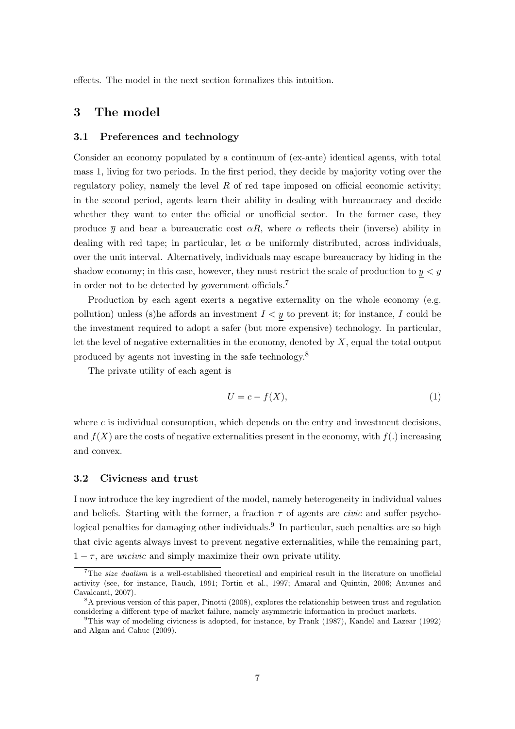effects. The model in the next section formalizes this intuition.

# 3 The model

#### 3.1 Preferences and technology

Consider an economy populated by a continuum of (ex-ante) identical agents, with total mass 1, living for two periods. In the first period, they decide by majority voting over the regulatory policy, namely the level  $R$  of red tape imposed on official economic activity; in the second period, agents learn their ability in dealing with bureaucracy and decide whether they want to enter the official or unofficial sector. In the former case, they produce  $\bar{y}$  and bear a bureaucratic cost  $\alpha R$ , where  $\alpha$  reflects their (inverse) ability in dealing with red tape; in particular, let  $\alpha$  be uniformly distributed, across individuals, over the unit interval. Alternatively, individuals may escape bureaucracy by hiding in the shadow economy; in this case, however, they must restrict the scale of production to  $y < \overline{y}$ in order not to be detected by government officials.<sup>7</sup>

Production by each agent exerts a negative externality on the whole economy (e.g. pollution) unless (s)he affords an investment  $I \leq y$  to prevent it; for instance, I could be the investment required to adopt a safer (but more expensive) technology. In particular, let the level of negative externalities in the economy, denoted by  $X$ , equal the total output produced by agents not investing in the safe technology.<sup>8</sup>

The private utility of each agent is

$$
U = c - f(X),\tag{1}
$$

where  $c$  is individual consumption, which depends on the entry and investment decisions. and  $f(X)$  are the costs of negative externalities present in the economy, with  $f(.)$  increasing and convex.

#### 3.2 Civicness and trust

I now introduce the key ingredient of the model, namely heterogeneity in individual values and beliefs. Starting with the former, a fraction  $\tau$  of agents are *civic* and suffer psychological penalties for damaging other individuals.<sup>9</sup> In particular, such penalties are so high that civic agents always invest to prevent negative externalities, while the remaining part,  $1 - \tau$ , are *uncivic* and simply maximize their own private utility.

<sup>&</sup>lt;sup>7</sup>The *size dualism* is a well-established theoretical and empirical result in the literature on unofficial activity (see, for instance, Rauch, 1991; Fortin et al., 1997; Amaral and Quintin, 2006; Antunes and Cavalcanti, 2007).

<sup>&</sup>lt;sup>8</sup>A previous version of this paper, Pinotti (2008), explores the relationship between trust and regulation considering a different type of market failure, namely asymmetric information in product markets.

<sup>9</sup>This way of modeling civicness is adopted, for instance, by Frank (1987), Kandel and Lazear (1992) and Algan and Cahuc (2009).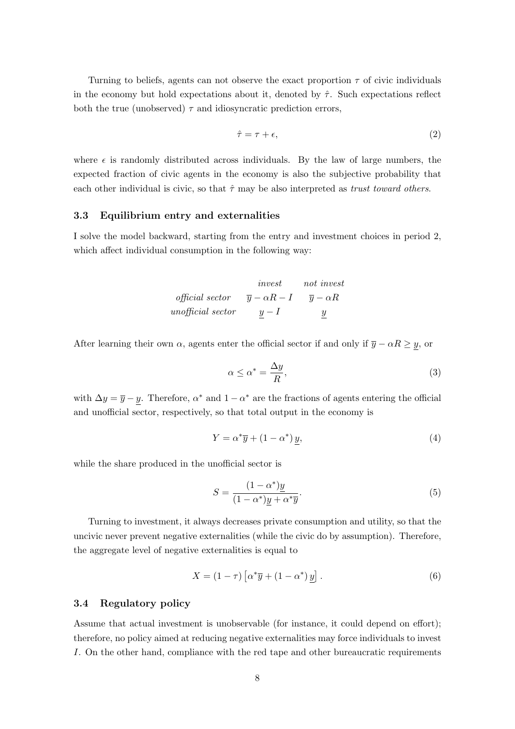Turning to beliefs, agents can not observe the exact proportion  $\tau$  of civic individuals in the economy but hold expectations about it, denoted by  $\hat{\tau}$ . Such expectations reflect both the true (unobserved)  $\tau$  and idiosyncratic prediction errors,

$$
\hat{\tau} = \tau + \epsilon,\tag{2}
$$

where  $\epsilon$  is randomly distributed across individuals. By the law of large numbers, the expected fraction of civic agents in the economy is also the subjective probability that each other individual is civic, so that  $\hat{\tau}$  may be also interpreted as trust toward others.

#### 3.3 Equilibrium entry and externalities

I solve the model backward, starting from the entry and investment choices in period 2, which affect individual consumption in the following way:

| inverse           | not invest                    |                           |
|-------------------|-------------------------------|---------------------------|
| official sector   | $\overline{y} - \alpha R - I$ | $\overline{y} - \alpha R$ |
| unofficial sector | $y - I$                       | $y$                       |

After learning their own  $\alpha$ , agents enter the official sector if and only if  $\overline{y} - \alpha R \ge y$ , or

$$
\alpha \le \alpha^* = \frac{\Delta y}{R},\tag{3}
$$

with  $\Delta y = \overline{y} - y$ . Therefore,  $\alpha^*$  and  $1 - \alpha^*$  are the fractions of agents entering the official and unofficial sector, respectively, so that total output in the economy is

$$
Y = \alpha^* \overline{y} + (1 - \alpha^*) y,\tag{4}
$$

while the share produced in the unofficial sector is

$$
S = \frac{(1 - \alpha^*)y}{(1 - \alpha^*)y + \alpha^* \overline{y}}.\tag{5}
$$

Turning to investment, it always decreases private consumption and utility, so that the uncivic never prevent negative externalities (while the civic do by assumption). Therefore, the aggregate level of negative externalities is equal to

$$
X = (1 - \tau) \left[ \alpha^* \overline{y} + (1 - \alpha^*) y \right]. \tag{6}
$$

#### 3.4 Regulatory policy

Assume that actual investment is unobservable (for instance, it could depend on effort); therefore, no policy aimed at reducing negative externalities may force individuals to invest I. On the other hand, compliance with the red tape and other bureaucratic requirements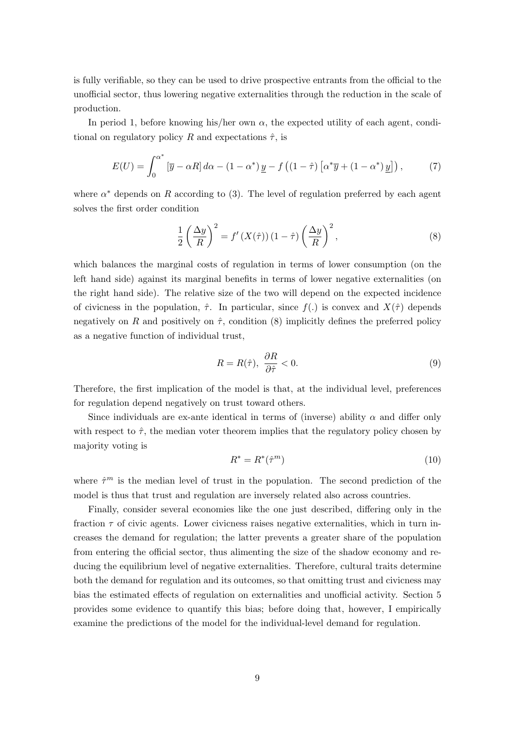is fully verifiable, so they can be used to drive prospective entrants from the official to the unofficial sector, thus lowering negative externalities through the reduction in the scale of production.

In period 1, before knowing his/her own  $\alpha$ , the expected utility of each agent, conditional on regulatory policy R and expectations  $\hat{\tau}$ , is

$$
E(U) = \int_0^{\alpha^*} \left[ \overline{y} - \alpha R \right] d\alpha - (1 - \alpha^*) \underline{y} - f \left( (1 - \hat{\tau}) \left[ \alpha^* \overline{y} + (1 - \alpha^*) \underline{y} \right] \right), \tag{7}
$$

where  $\alpha^*$  depends on R according to (3). The level of regulation preferred by each agent solves the first order condition

$$
\frac{1}{2} \left( \frac{\Delta y}{R} \right)^2 = f'(X(\hat{\tau})) \left( 1 - \hat{\tau} \right) \left( \frac{\Delta y}{R} \right)^2,\tag{8}
$$

which balances the marginal costs of regulation in terms of lower consumption (on the left hand side) against its marginal benefits in terms of lower negative externalities (on the right hand side). The relative size of the two will depend on the expected incidence of civicness in the population,  $\hat{\tau}$ . In particular, since  $f(.)$  is convex and  $X(\hat{\tau})$  depends negatively on R and positively on  $\hat{\tau}$ , condition (8) implicitly defines the preferred policy as a negative function of individual trust,

$$
R = R(\hat{\tau}), \ \frac{\partial R}{\partial \hat{\tau}} < 0. \tag{9}
$$

Therefore, the first implication of the model is that, at the individual level, preferences for regulation depend negatively on trust toward others.

Since individuals are ex-ante identical in terms of (inverse) ability  $\alpha$  and differ only with respect to  $\hat{\tau}$ , the median voter theorem implies that the regulatory policy chosen by majority voting is

$$
R^* = R^*(\hat{\tau}^m) \tag{10}
$$

where  $\hat{\tau}^m$  is the median level of trust in the population. The second prediction of the model is thus that trust and regulation are inversely related also across countries.

Finally, consider several economies like the one just described, differing only in the fraction  $\tau$  of civic agents. Lower civicness raises negative externalities, which in turn increases the demand for regulation; the latter prevents a greater share of the population from entering the official sector, thus alimenting the size of the shadow economy and reducing the equilibrium level of negative externalities. Therefore, cultural traits determine both the demand for regulation and its outcomes, so that omitting trust and civicness may bias the estimated effects of regulation on externalities and unofficial activity. Section 5 provides some evidence to quantify this bias; before doing that, however, I empirically examine the predictions of the model for the individual-level demand for regulation.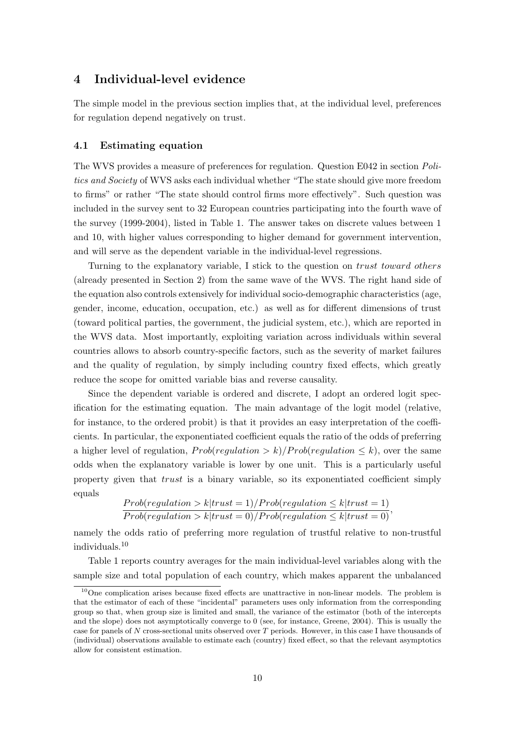# 4 Individual-level evidence

The simple model in the previous section implies that, at the individual level, preferences for regulation depend negatively on trust.

#### 4.1 Estimating equation

The WVS provides a measure of preferences for regulation. Question E042 in section Politics and Society of WVS asks each individual whether "The state should give more freedom to firms" or rather "The state should control firms more effectively". Such question was included in the survey sent to 32 European countries participating into the fourth wave of the survey (1999-2004), listed in Table 1. The answer takes on discrete values between 1 and 10, with higher values corresponding to higher demand for government intervention, and will serve as the dependent variable in the individual-level regressions.

Turning to the explanatory variable, I stick to the question on trust toward others (already presented in Section 2) from the same wave of the WVS. The right hand side of the equation also controls extensively for individual socio-demographic characteristics (age, gender, income, education, occupation, etc.) as well as for different dimensions of trust (toward political parties, the government, the judicial system, etc.), which are reported in the WVS data. Most importantly, exploiting variation across individuals within several countries allows to absorb country-specific factors, such as the severity of market failures and the quality of regulation, by simply including country fixed effects, which greatly reduce the scope for omitted variable bias and reverse causality.

Since the dependent variable is ordered and discrete, I adopt an ordered logit specification for the estimating equation. The main advantage of the logit model (relative, for instance, to the ordered probit) is that it provides an easy interpretation of the coefficients. In particular, the exponentiated coefficient equals the ratio of the odds of preferring a higher level of regulation,  $Prob(requlation > k)/Prob(requlation < k)$ , over the same odds when the explanatory variable is lower by one unit. This is a particularly useful property given that trust is a binary variable, so its exponentiated coefficient simply equals

$$
\frac{Prob(regularion > k | trust = 1)/Prob(regularion \le k | trust = 1)}{Prob(regularion > k | trust = 0)/Prob(regularion \le k | trust = 0)},
$$

namely the odds ratio of preferring more regulation of trustful relative to non-trustful individuals.<sup>10</sup>

Table 1 reports country averages for the main individual-level variables along with the sample size and total population of each country, which makes apparent the unbalanced

 $10$ One complication arises because fixed effects are unattractive in non-linear models. The problem is that the estimator of each of these "incidental" parameters uses only information from the corresponding group so that, when group size is limited and small, the variance of the estimator (both of the intercepts and the slope) does not asymptotically converge to 0 (see, for instance, Greene, 2004). This is usually the case for panels of N cross-sectional units observed over T periods. However, in this case I have thousands of (individual) observations available to estimate each (country) fixed effect, so that the relevant asymptotics allow for consistent estimation.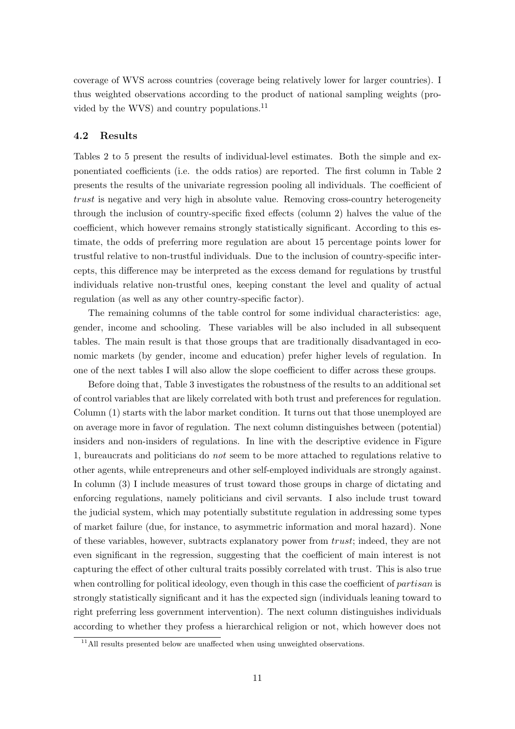coverage of WVS across countries (coverage being relatively lower for larger countries). I thus weighted observations according to the product of national sampling weights (provided by the WVS) and country populations.<sup>11</sup>

#### 4.2 Results

Tables 2 to 5 present the results of individual-level estimates. Both the simple and exponentiated coefficients (i.e. the odds ratios) are reported. The first column in Table 2 presents the results of the univariate regression pooling all individuals. The coefficient of trust is negative and very high in absolute value. Removing cross-country heterogeneity through the inclusion of country-specific fixed effects (column 2) halves the value of the coefficient, which however remains strongly statistically significant. According to this estimate, the odds of preferring more regulation are about 15 percentage points lower for trustful relative to non-trustful individuals. Due to the inclusion of country-specific intercepts, this difference may be interpreted as the excess demand for regulations by trustful individuals relative non-trustful ones, keeping constant the level and quality of actual regulation (as well as any other country-specific factor).

The remaining columns of the table control for some individual characteristics: age, gender, income and schooling. These variables will be also included in all subsequent tables. The main result is that those groups that are traditionally disadvantaged in economic markets (by gender, income and education) prefer higher levels of regulation. In one of the next tables I will also allow the slope coefficient to differ across these groups.

Before doing that, Table 3 investigates the robustness of the results to an additional set of control variables that are likely correlated with both trust and preferences for regulation. Column (1) starts with the labor market condition. It turns out that those unemployed are on average more in favor of regulation. The next column distinguishes between (potential) insiders and non-insiders of regulations. In line with the descriptive evidence in Figure 1, bureaucrats and politicians do not seem to be more attached to regulations relative to other agents, while entrepreneurs and other self-employed individuals are strongly against. In column (3) I include measures of trust toward those groups in charge of dictating and enforcing regulations, namely politicians and civil servants. I also include trust toward the judicial system, which may potentially substitute regulation in addressing some types of market failure (due, for instance, to asymmetric information and moral hazard). None of these variables, however, subtracts explanatory power from trust; indeed, they are not even significant in the regression, suggesting that the coefficient of main interest is not capturing the effect of other cultural traits possibly correlated with trust. This is also true when controlling for political ideology, even though in this case the coefficient of *partisan* is strongly statistically significant and it has the expected sign (individuals leaning toward to right preferring less government intervention). The next column distinguishes individuals according to whether they profess a hierarchical religion or not, which however does not

 $11$ All results presented below are unaffected when using unweighted observations.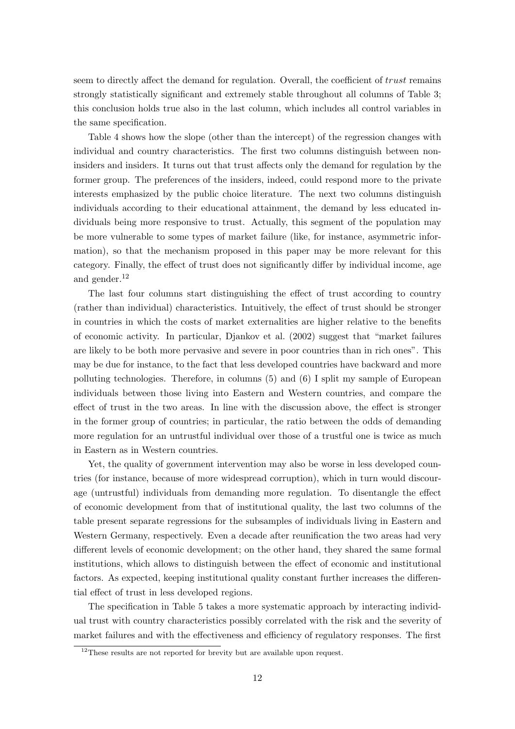seem to directly affect the demand for regulation. Overall, the coefficient of trust remains strongly statistically significant and extremely stable throughout all columns of Table 3; this conclusion holds true also in the last column, which includes all control variables in the same specification.

Table 4 shows how the slope (other than the intercept) of the regression changes with individual and country characteristics. The first two columns distinguish between noninsiders and insiders. It turns out that trust affects only the demand for regulation by the former group. The preferences of the insiders, indeed, could respond more to the private interests emphasized by the public choice literature. The next two columns distinguish individuals according to their educational attainment, the demand by less educated individuals being more responsive to trust. Actually, this segment of the population may be more vulnerable to some types of market failure (like, for instance, asymmetric information), so that the mechanism proposed in this paper may be more relevant for this category. Finally, the effect of trust does not significantly differ by individual income, age and gender.<sup>12</sup>

The last four columns start distinguishing the effect of trust according to country (rather than individual) characteristics. Intuitively, the effect of trust should be stronger in countries in which the costs of market externalities are higher relative to the benefits of economic activity. In particular, Djankov et al. (2002) suggest that "market failures are likely to be both more pervasive and severe in poor countries than in rich ones". This may be due for instance, to the fact that less developed countries have backward and more polluting technologies. Therefore, in columns (5) and (6) I split my sample of European individuals between those living into Eastern and Western countries, and compare the effect of trust in the two areas. In line with the discussion above, the effect is stronger in the former group of countries; in particular, the ratio between the odds of demanding more regulation for an untrustful individual over those of a trustful one is twice as much in Eastern as in Western countries.

Yet, the quality of government intervention may also be worse in less developed countries (for instance, because of more widespread corruption), which in turn would discourage (untrustful) individuals from demanding more regulation. To disentangle the effect of economic development from that of institutional quality, the last two columns of the table present separate regressions for the subsamples of individuals living in Eastern and Western Germany, respectively. Even a decade after reunification the two areas had very different levels of economic development; on the other hand, they shared the same formal institutions, which allows to distinguish between the effect of economic and institutional factors. As expected, keeping institutional quality constant further increases the differential effect of trust in less developed regions.

The specification in Table 5 takes a more systematic approach by interacting individual trust with country characteristics possibly correlated with the risk and the severity of market failures and with the effectiveness and efficiency of regulatory responses. The first

 $12$ These results are not reported for brevity but are available upon request.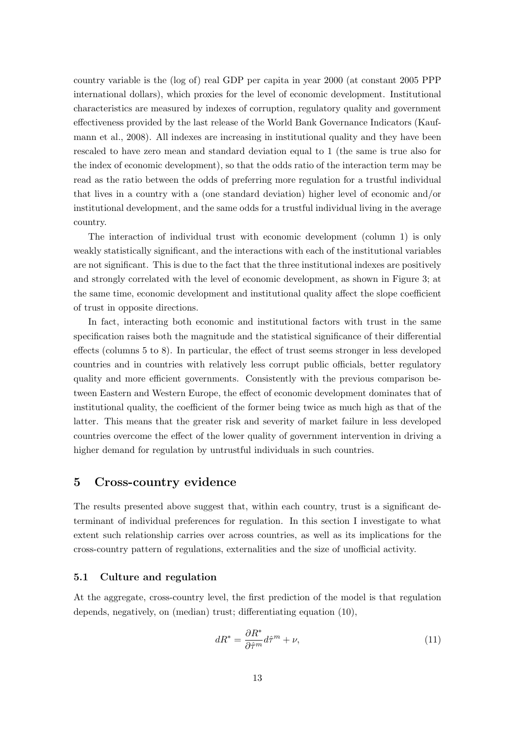country variable is the (log of) real GDP per capita in year 2000 (at constant 2005 PPP international dollars), which proxies for the level of economic development. Institutional characteristics are measured by indexes of corruption, regulatory quality and government effectiveness provided by the last release of the World Bank Governance Indicators (Kaufmann et al., 2008). All indexes are increasing in institutional quality and they have been rescaled to have zero mean and standard deviation equal to 1 (the same is true also for the index of economic development), so that the odds ratio of the interaction term may be read as the ratio between the odds of preferring more regulation for a trustful individual that lives in a country with a (one standard deviation) higher level of economic and/or institutional development, and the same odds for a trustful individual living in the average country.

The interaction of individual trust with economic development (column 1) is only weakly statistically significant, and the interactions with each of the institutional variables are not significant. This is due to the fact that the three institutional indexes are positively and strongly correlated with the level of economic development, as shown in Figure 3; at the same time, economic development and institutional quality affect the slope coefficient of trust in opposite directions.

In fact, interacting both economic and institutional factors with trust in the same specification raises both the magnitude and the statistical significance of their differential effects (columns 5 to 8). In particular, the effect of trust seems stronger in less developed countries and in countries with relatively less corrupt public officials, better regulatory quality and more efficient governments. Consistently with the previous comparison between Eastern and Western Europe, the effect of economic development dominates that of institutional quality, the coefficient of the former being twice as much high as that of the latter. This means that the greater risk and severity of market failure in less developed countries overcome the effect of the lower quality of government intervention in driving a higher demand for regulation by untrustful individuals in such countries.

# 5 Cross-country evidence

The results presented above suggest that, within each country, trust is a significant determinant of individual preferences for regulation. In this section I investigate to what extent such relationship carries over across countries, as well as its implications for the cross-country pattern of regulations, externalities and the size of unofficial activity.

#### 5.1 Culture and regulation

At the aggregate, cross-country level, the first prediction of the model is that regulation depends, negatively, on (median) trust; differentiating equation (10),

$$
dR^* = \frac{\partial R^*}{\partial \hat{\tau}^m} d\hat{\tau}^m + \nu,\tag{11}
$$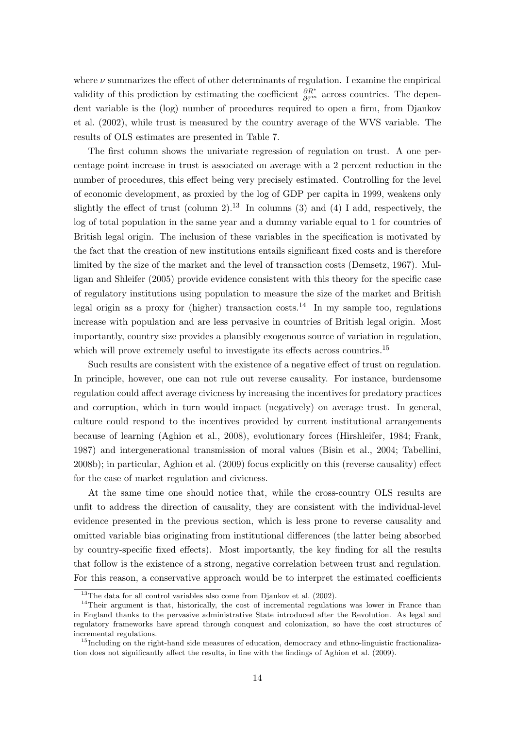where  $\nu$  summarizes the effect of other determinants of regulation. I examine the empirical validity of this prediction by estimating the coefficient  $\frac{\partial R^*}{\partial \hat{\tau}^m}$  across countries. The dependent variable is the (log) number of procedures required to open a firm, from Djankov et al. (2002), while trust is measured by the country average of the WVS variable. The results of OLS estimates are presented in Table 7.

The first column shows the univariate regression of regulation on trust. A one percentage point increase in trust is associated on average with a 2 percent reduction in the number of procedures, this effect being very precisely estimated. Controlling for the level of economic development, as proxied by the log of GDP per capita in 1999, weakens only slightly the effect of trust (column 2).<sup>13</sup> In columns (3) and (4) I add, respectively, the log of total population in the same year and a dummy variable equal to 1 for countries of British legal origin. The inclusion of these variables in the specification is motivated by the fact that the creation of new institutions entails significant fixed costs and is therefore limited by the size of the market and the level of transaction costs (Demsetz, 1967). Mulligan and Shleifer (2005) provide evidence consistent with this theory for the specific case of regulatory institutions using population to measure the size of the market and British legal origin as a proxy for (higher) transaction costs.<sup>14</sup> In my sample too, regulations increase with population and are less pervasive in countries of British legal origin. Most importantly, country size provides a plausibly exogenous source of variation in regulation, which will prove extremely useful to investigate its effects across countries.<sup>15</sup>

Such results are consistent with the existence of a negative effect of trust on regulation. In principle, however, one can not rule out reverse causality. For instance, burdensome regulation could affect average civicness by increasing the incentives for predatory practices and corruption, which in turn would impact (negatively) on average trust. In general, culture could respond to the incentives provided by current institutional arrangements because of learning (Aghion et al., 2008), evolutionary forces (Hirshleifer, 1984; Frank, 1987) and intergenerational transmission of moral values (Bisin et al., 2004; Tabellini, 2008b); in particular, Aghion et al. (2009) focus explicitly on this (reverse causality) effect for the case of market regulation and civicness.

At the same time one should notice that, while the cross-country OLS results are unfit to address the direction of causality, they are consistent with the individual-level evidence presented in the previous section, which is less prone to reverse causality and omitted variable bias originating from institutional differences (the latter being absorbed by country-specific fixed effects). Most importantly, the key finding for all the results that follow is the existence of a strong, negative correlation between trust and regulation. For this reason, a conservative approach would be to interpret the estimated coefficients

 $13$ The data for all control variables also come from Djankov et al. (2002).

 $14$ Their argument is that, historically, the cost of incremental regulations was lower in France than in England thanks to the pervasive administrative State introduced after the Revolution. As legal and regulatory frameworks have spread through conquest and colonization, so have the cost structures of incremental regulations.

<sup>&</sup>lt;sup>15</sup>Including on the right-hand side measures of education, democracy and ethno-linguistic fractionalization does not significantly affect the results, in line with the findings of Aghion et al. (2009).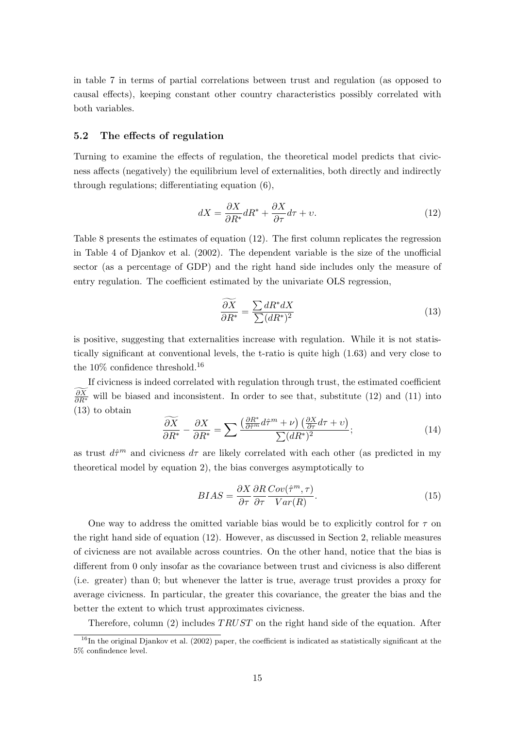in table 7 in terms of partial correlations between trust and regulation (as opposed to causal effects), keeping constant other country characteristics possibly correlated with both variables.

#### 5.2 The effects of regulation

Turning to examine the effects of regulation, the theoretical model predicts that civicness affects (negatively) the equilibrium level of externalities, both directly and indirectly through regulations; differentiating equation (6),

$$
dX = \frac{\partial X}{\partial R^*} dR^* + \frac{\partial X}{\partial \tau} d\tau + v.
$$
\n(12)

Table 8 presents the estimates of equation (12). The first column replicates the regression in Table 4 of Djankov et al. (2002). The dependent variable is the size of the unofficial sector (as a percentage of GDP) and the right hand side includes only the measure of entry regulation. The coefficient estimated by the univariate OLS regression,

$$
\frac{\widetilde{\partial X}}{\partial R^*} = \frac{\sum dR^* dX}{\sum (dR^*)^2} \tag{13}
$$

is positive, suggesting that externalities increase with regulation. While it is not statistically significant at conventional levels, the t-ratio is quite high (1.63) and very close to the 10% confidence threshold.<sup>16</sup>

If civicness is indeed correlated with regulation through trust, the estimated coefficient  $\frac{\partial X}{\partial R^*}$  will be biased and inconsistent. In order to see that, substitute (12) and (11) into (13) to obtain

$$
\frac{\widetilde{\partial X}}{\partial R^*} - \frac{\partial X}{\partial R^*} = \sum \frac{\left(\frac{\partial R^*}{\partial \hat{\tau}^m} d\hat{\tau}^m + \nu\right) \left(\frac{\partial X}{\partial \tau} d\tau + \nu\right)}{\sum (dR^*)^2};\tag{14}
$$

as trust  $d\hat{\tau}^m$  and civicness  $d\tau$  are likely correlated with each other (as predicted in my theoretical model by equation 2), the bias converges asymptotically to

$$
BIAS = \frac{\partial X}{\partial \tau} \frac{\partial R}{\partial \tau} \frac{Cov(\hat{\tau}^m, \tau)}{Var(R)}.
$$
\n(15)

One way to address the omitted variable bias would be to explicitly control for  $\tau$  on the right hand side of equation (12). However, as discussed in Section 2, reliable measures of civicness are not available across countries. On the other hand, notice that the bias is different from 0 only insofar as the covariance between trust and civicness is also different (i.e. greater) than 0; but whenever the latter is true, average trust provides a proxy for average civicness. In particular, the greater this covariance, the greater the bias and the better the extent to which trust approximates civicness.

Therefore, column (2) includes TRUST on the right hand side of the equation. After

 $16$ In the original Djankov et al. (2002) paper, the coefficient is indicated as statistically significant at the 5% confindence level.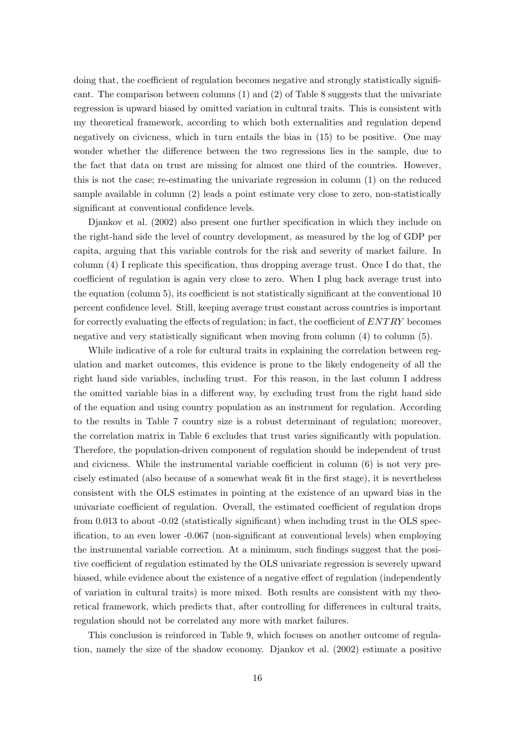doing that, the coefficient of regulation becomes negative and strongly statistically significant. The comparison between columns (1) and (2) of Table 8 suggests that the univariate regression is upward biased by omitted variation in cultural traits. This is consistent with my theoretical framework, according to which both externalities and regulation depend negatively on civicness, which in turn entails the bias in (15) to be positive. One may wonder whether the difference between the two regressions lies in the sample, due to the fact that data on trust are missing for almost one third of the countries. However, this is not the case; re-estimating the univariate regression in column (1) on the reduced sample available in column (2) leads a point estimate very close to zero, non-statistically significant at conventional confidence levels.

Djankov et al. (2002) also present one further specification in which they include on the right-hand side the level of country development, as measured by the log of GDP per capita, arguing that this variable controls for the risk and severity of market failure. In column (4) I replicate this specification, thus dropping average trust. Once I do that, the coefficient of regulation is again very close to zero. When I plug back average trust into the equation (column 5), its coefficient is not statistically significant at the conventional 10 percent confidence level. Still, keeping average trust constant across countries is important for correctly evaluating the effects of regulation; in fact, the coefficient of  $ENTRY$  becomes negative and very statistically significant when moving from column (4) to column (5).

While indicative of a role for cultural traits in explaining the correlation between regulation and market outcomes, this evidence is prone to the likely endogeneity of all the right hand side variables, including trust. For this reason, in the last column I address the omitted variable bias in a different way, by excluding trust from the right hand side of the equation and using country population as an instrument for regulation. According to the results in Table 7 country size is a robust determinant of regulation; moreover, the correlation matrix in Table 6 excludes that trust varies significantly with population. Therefore, the population-driven component of regulation should be independent of trust and civicness. While the instrumental variable coefficient in column (6) is not very precisely estimated (also because of a somewhat weak fit in the first stage), it is nevertheless consistent with the OLS estimates in pointing at the existence of an upward bias in the univariate coefficient of regulation. Overall, the estimated coefficient of regulation drops from 0.013 to about -0.02 (statistically significant) when including trust in the OLS specification, to an even lower -0.067 (non-significant at conventional levels) when employing the instrumental variable correction. At a minimum, such findings suggest that the positive coefficient of regulation estimated by the OLS univariate regression is severely upward biased, while evidence about the existence of a negative effect of regulation (independently of variation in cultural traits) is more mixed. Both results are consistent with my theoretical framework, which predicts that, after controlling for differences in cultural traits, regulation should not be correlated any more with market failures.

This conclusion is reinforced in Table 9, which focuses on another outcome of regulation, namely the size of the shadow economy. Djankov et al. (2002) estimate a positive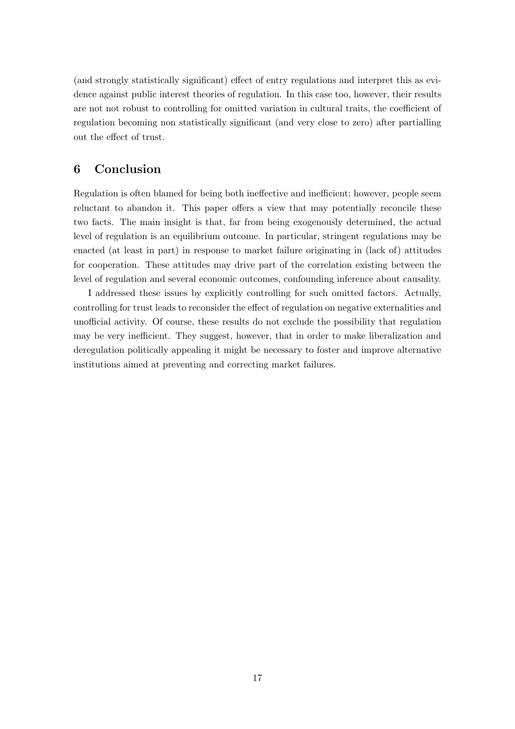(and strongly statistically significant) effect of entry regulations and interpret this as evidence against public interest theories of regulation. In this case too, however, their results are not not robust to controlling for omitted variation in cultural traits, the coefficient of regulation becoming non statistically significant (and very close to zero) after partialling out the effect of trust.

# 6 Conclusion

Regulation is often blamed for being both ineffective and inefficient; however, people seem reluctant to abandon it. This paper offers a view that may potentially reconcile these two facts. The main insight is that, far from being exogenously determined, the actual level of regulation is an equilibrium outcome. In particular, stringent regulations may be enacted (at least in part) in response to market failure originating in (lack of) attitudes for cooperation. These attitudes may drive part of the correlation existing between the level of regulation and several economic outcomes, confounding inference about causality.

I addressed these issues by explicitly controlling for such omitted factors. Actually, controlling for trust leads to reconsider the effect of regulation on negative externalities and unofficial activity. Of course, these results do not exclude the possibility that regulation may be very inefficient. They suggest, however, that in order to make liberalization and deregulation politically appealing it might be necessary to foster and improve alternative institutions aimed at preventing and correcting market failures.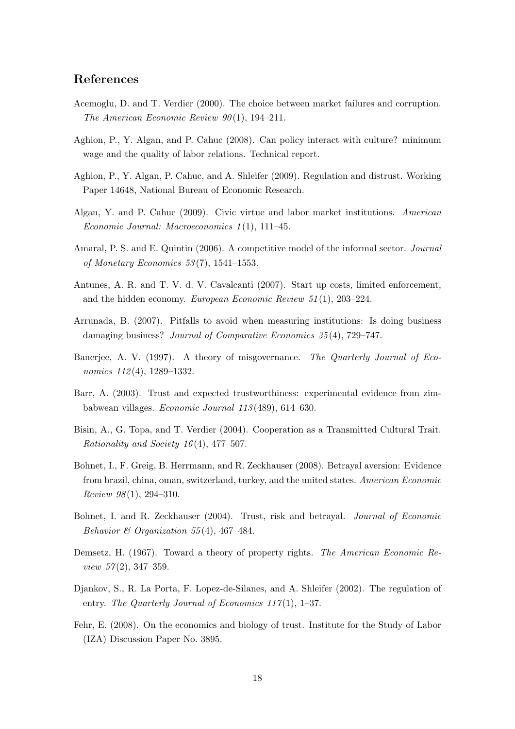# References

- Acemoglu, D. and T. Verdier (2000). The choice between market failures and corruption. The American Economic Review  $90(1)$ , 194-211.
- Aghion, P., Y. Algan, and P. Cahuc (2008). Can policy interact with culture? minimum wage and the quality of labor relations. Technical report.
- Aghion, P., Y. Algan, P. Cahuc, and A. Shleifer (2009). Regulation and distrust. Working Paper 14648, National Bureau of Economic Research.
- Algan, Y. and P. Cahuc (2009). Civic virtue and labor market institutions. American Economic Journal: Macroeconomics 1 (1), 111–45.
- Amaral, P. S. and E. Quintin (2006). A competitive model of the informal sector. Journal of Monetary Economics  $53(7)$ , 1541–1553.
- Antunes, A. R. and T. V. d. V. Cavalcanti (2007). Start up costs, limited enforcement, and the hidden economy. European Economic Review 51 (1), 203–224.
- Arrunada, B. (2007). Pitfalls to avoid when measuring institutions: Is doing business damaging business? *Journal of Comparative Economics 35(4)*, 729–747.
- Banerjee, A. V. (1997). A theory of misgovernance. The Quarterly Journal of Economics 112(4), 1289–1332.
- Barr, A. (2003). Trust and expected trustworthiness: experimental evidence from zimbabwean villages. Economic Journal 113 (489), 614–630.
- Bisin, A., G. Topa, and T. Verdier (2004). Cooperation as a Transmitted Cultural Trait. Rationality and Society 16 (4), 477–507.
- Bohnet, I., F. Greig, B. Herrmann, and R. Zeckhauser (2008). Betrayal aversion: Evidence from brazil, china, oman, switzerland, turkey, and the united states. American Economic Review  $98(1)$ , 294-310.
- Bohnet, I. and R. Zeckhauser (2004). Trust, risk and betrayal. Journal of Economic Behavior & Organization 55(4), 467-484.
- Demsetz, H. (1967). Toward a theory of property rights. The American Economic Review  $57(2)$ , 347-359.
- Djankov, S., R. La Porta, F. Lopez-de-Silanes, and A. Shleifer (2002). The regulation of entry. The Quarterly Journal of Economics  $117(1)$ , 1–37.
- Fehr, E. (2008). On the economics and biology of trust. Institute for the Study of Labor (IZA) Discussion Paper No. 3895.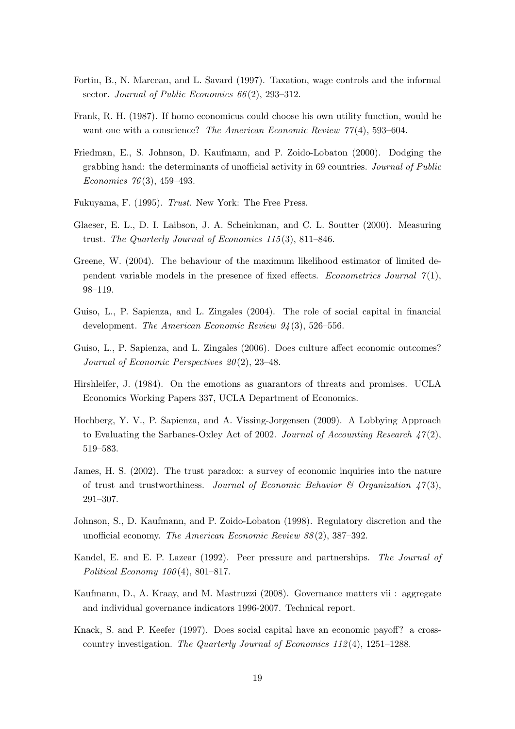- Fortin, B., N. Marceau, and L. Savard (1997). Taxation, wage controls and the informal sector. Journal of Public Economics  $66(2)$ , 293–312.
- Frank, R. H. (1987). If homo economicus could choose his own utility function, would he want one with a conscience? The American Economic Review  $77(4)$ , 593–604.
- Friedman, E., S. Johnson, D. Kaufmann, and P. Zoido-Lobaton (2000). Dodging the grabbing hand: the determinants of unofficial activity in 69 countries. Journal of Public Economics 76(3), 459–493.
- Fukuyama, F. (1995). Trust. New York: The Free Press.
- Glaeser, E. L., D. I. Laibson, J. A. Scheinkman, and C. L. Soutter (2000). Measuring trust. The Quarterly Journal of Economics 115 (3), 811–846.
- Greene, W. (2004). The behaviour of the maximum likelihood estimator of limited dependent variable models in the presence of fixed effects. Econometrics Journal  $\gamma(1)$ , 98–119.
- Guiso, L., P. Sapienza, and L. Zingales (2004). The role of social capital in financial development. The American Economic Review 94(3), 526–556.
- Guiso, L., P. Sapienza, and L. Zingales (2006). Does culture affect economic outcomes? Journal of Economic Perspectives  $20(2)$ , 23-48.
- Hirshleifer, J. (1984). On the emotions as guarantors of threats and promises. UCLA Economics Working Papers 337, UCLA Department of Economics.
- Hochberg, Y. V., P. Sapienza, and A. Vissing-Jorgensen (2009). A Lobbying Approach to Evaluating the Sarbanes-Oxley Act of 2002. Journal of Accounting Research  $47(2)$ , 519–583.
- James, H. S. (2002). The trust paradox: a survey of economic inquiries into the nature of trust and trustworthiness. Journal of Economic Behavior  $\mathcal{B}$  Organization 47(3), 291–307.
- Johnson, S., D. Kaufmann, and P. Zoido-Lobaton (1998). Regulatory discretion and the unofficial economy. The American Economic Review 88 (2), 387–392.
- Kandel, E. and E. P. Lazear (1992). Peer pressure and partnerships. The Journal of Political Economy  $100(4)$ , 801–817.
- Kaufmann, D., A. Kraay, and M. Mastruzzi (2008). Governance matters vii : aggregate and individual governance indicators 1996-2007. Technical report.
- Knack, S. and P. Keefer (1997). Does social capital have an economic payoff? a crosscountry investigation. The Quarterly Journal of Economics  $112(4)$ ,  $1251-1288$ .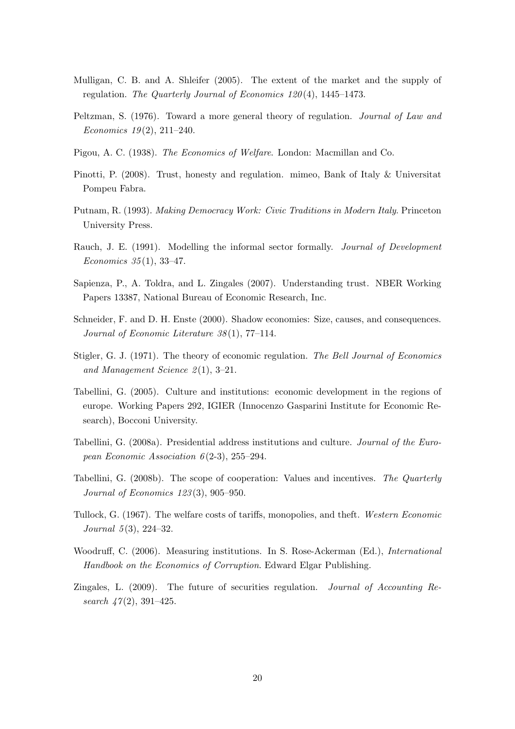- Mulligan, C. B. and A. Shleifer (2005). The extent of the market and the supply of regulation. The Quarterly Journal of Economics 120 (4), 1445–1473.
- Peltzman, S. (1976). Toward a more general theory of regulation. Journal of Law and Economics  $19(2)$ ,  $211-240$ .
- Pigou, A. C. (1938). The Economics of Welfare. London: Macmillan and Co.
- Pinotti, P. (2008). Trust, honesty and regulation. mimeo, Bank of Italy & Universitat Pompeu Fabra.
- Putnam, R. (1993). Making Democracy Work: Civic Traditions in Modern Italy. Princeton University Press.
- Rauch, J. E. (1991). Modelling the informal sector formally. *Journal of Development* Economics 35 (1), 33–47.
- Sapienza, P., A. Toldra, and L. Zingales (2007). Understanding trust. NBER Working Papers 13387, National Bureau of Economic Research, Inc.
- Schneider, F. and D. H. Enste (2000). Shadow economies: Size, causes, and consequences. Journal of Economic Literature 38 (1), 77–114.
- Stigler, G. J. (1971). The theory of economic regulation. The Bell Journal of Economics and Management Science  $2(1), 3-21.$
- Tabellini, G. (2005). Culture and institutions: economic development in the regions of europe. Working Papers 292, IGIER (Innocenzo Gasparini Institute for Economic Research), Bocconi University.
- Tabellini, G. (2008a). Presidential address institutions and culture. Journal of the European Economic Association  $6(2-3)$ , 255–294.
- Tabellini, G. (2008b). The scope of cooperation: Values and incentives. The Quarterly Journal of Economics 123 (3), 905–950.
- Tullock, G. (1967). The welfare costs of tariffs, monopolies, and theft. Western Economic Journal  $5(3)$ , 224-32.
- Woodruff, C. (2006). Measuring institutions. In S. Rose-Ackerman (Ed.), International Handbook on the Economics of Corruption. Edward Elgar Publishing.
- Zingales, L. (2009). The future of securities regulation. Journal of Accounting Research  $47(2)$ , 391-425.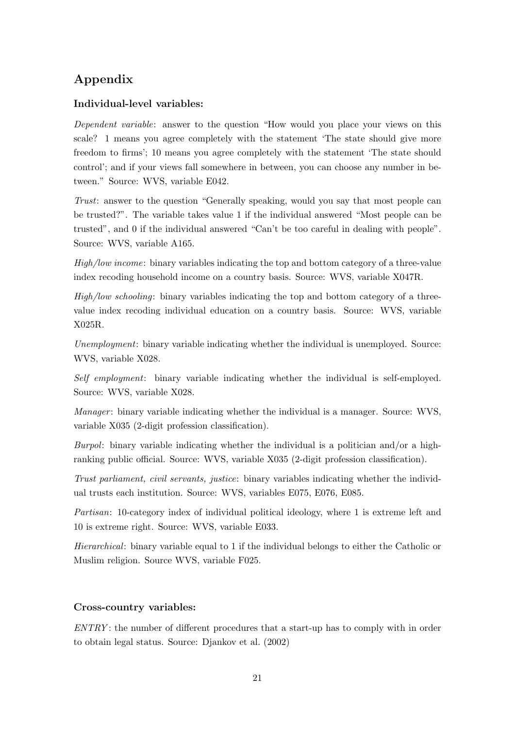# Appendix

# Individual-level variables:

Dependent variable: answer to the question "How would you place your views on this scale? 1 means you agree completely with the statement 'The state should give more freedom to firms'; 10 means you agree completely with the statement 'The state should control'; and if your views fall somewhere in between, you can choose any number in between." Source: WVS, variable E042.

Trust: answer to the question "Generally speaking, would you say that most people can be trusted?". The variable takes value 1 if the individual answered "Most people can be trusted", and 0 if the individual answered "Can't be too careful in dealing with people". Source: WVS, variable A165.

High/low income: binary variables indicating the top and bottom category of a three-value index recoding household income on a country basis. Source: WVS, variable X047R.

High/low schooling: binary variables indicating the top and bottom category of a threevalue index recoding individual education on a country basis. Source: WVS, variable X025R.

Unemployment: binary variable indicating whether the individual is unemployed. Source: WVS, variable X028.

Self employment: binary variable indicating whether the individual is self-employed. Source: WVS, variable X028.

*Manager*: binary variable indicating whether the individual is a manager. Source: WVS, variable X035 (2-digit profession classification).

Burpol: binary variable indicating whether the individual is a politician and/or a highranking public official. Source: WVS, variable X035 (2-digit profession classification).

Trust parliament, civil servants, justice: binary variables indicating whether the individual trusts each institution. Source: WVS, variables E075, E076, E085.

Partisan: 10-category index of individual political ideology, where 1 is extreme left and 10 is extreme right. Source: WVS, variable E033.

Hierarchical: binary variable equal to 1 if the individual belongs to either the Catholic or Muslim religion. Source WVS, variable F025.

# Cross-country variables:

 $ENTRY$ : the number of different procedures that a start-up has to comply with in order to obtain legal status. Source: Djankov et al. (2002)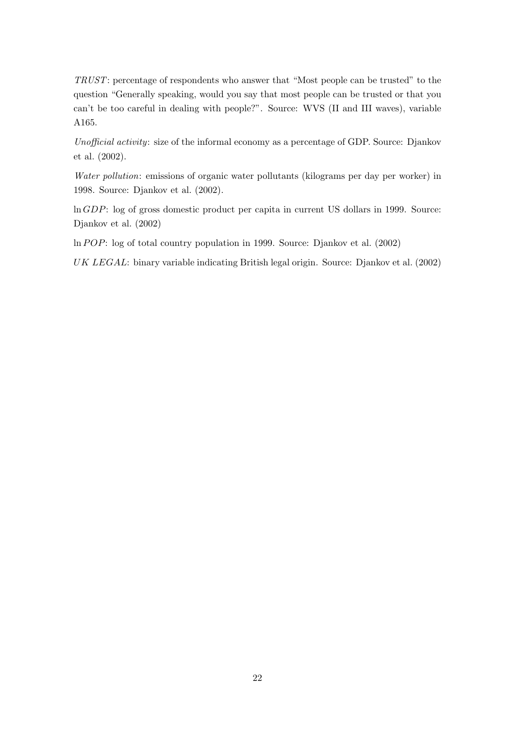TRUST: percentage of respondents who answer that "Most people can be trusted" to the question "Generally speaking, would you say that most people can be trusted or that you can't be too careful in dealing with people?". Source: WVS (II and III waves), variable A165.

Unofficial activity: size of the informal economy as a percentage of GDP. Source: Djankov et al. (2002).

Water pollution: emissions of organic water pollutants (kilograms per day per worker) in 1998. Source: Djankov et al. (2002).

ln GDP: log of gross domestic product per capita in current US dollars in 1999. Source: Djankov et al. (2002)

 $\ln POP:$  log of total country population in 1999. Source: Djankov et al. (2002)

UK LEGAL: binary variable indicating British legal origin. Source: Djankov et al. (2002)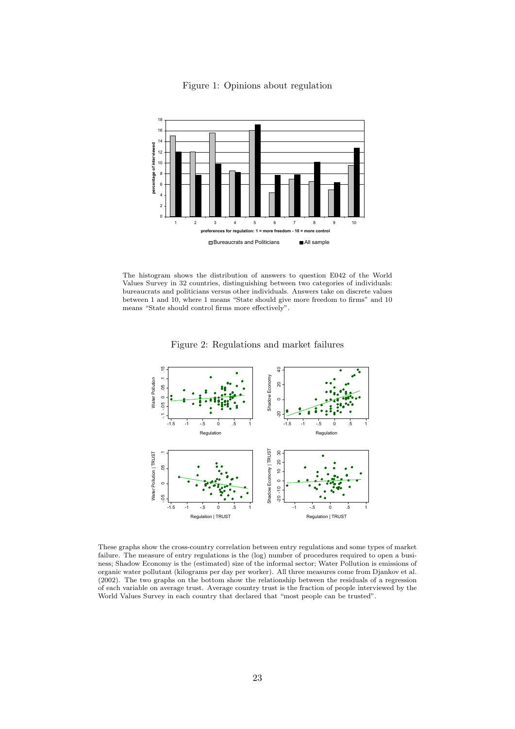

Figure 1: Opinions about regulation

The histogram shows the distribution of answers to question E042 of the World Values Survey in 32 countries, distinguishing between two categories of individuals: bureaucrats and politicians versus other individuals. Answers take on discrete values between 1 and 10, where 1 means "State should give more freedom to firms" and 10 means "State should control firms more effectively".

Figure 2: Regulations and market failures



These graphs show the cross-country correlation between entry regulations and some types of market failure. The measure of entry regulations is the (log) number of procedures required to open a business; Shadow Economy is the (estimated) size of the informal sector; Water Pollution is emissions of organic water pollutant (kilograms per day per worker). All three measures come from Djankov et al. (2002). The two graphs on the bottom show the relationship between the residuals of a regression of each variable on average trust. Average country trust is the fraction of people interviewed by the World Values Survey in each country that declared that "most people can be trusted".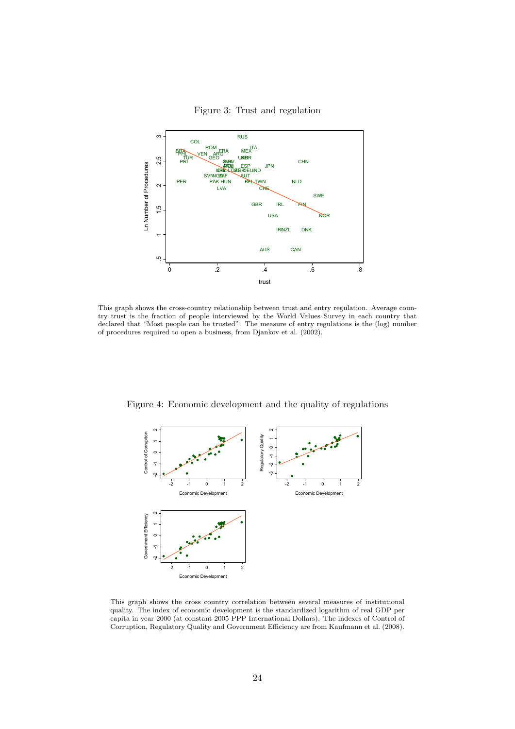

Figure 3: Trust and regulation

This graph shows the cross-country relationship between trust and entry regulation. Average coun-

try trust is the fraction of people interviewed by the World Values Survey in each country that declared that "Most people can be trusted". The measure of entry regulations is the (log) number of procedures required to open a business, from Djankov et al. (2002).

--<br>م - $\circ$  $\begin{bmatrix} 1 \\ 2 \end{bmatrix}$ Control of Corruption<br> $2 \quad -1 \quad 0 \quad 1$ -2 -1 0 1 2 Economic Development  $\frac{7}{9}$  -1  $\begin{bmatrix} 1 & 2 \\ 1 & 2 \end{bmatrix}$ Regulatory Quality -2 -1 0 1 2 Economic Develope  $\frac{1}{2}$  -1  $\circ$  $\begin{bmatrix} 1 \\ 2 \end{bmatrix}$ Government Efficiency -2 -1 0 1 2 Economic Development

Figure 4: Economic development and the quality of regulations

This graph shows the cross country correlation between several measures of institutional quality. The index of economic development is the standardized logarithm of real GDP per capita in year 2000 (at constant 2005 PPP International Dollars). The indexes of Control of Corruption, Regulatory Quality and Government Efficiency are from Kaufmann et al. (2008).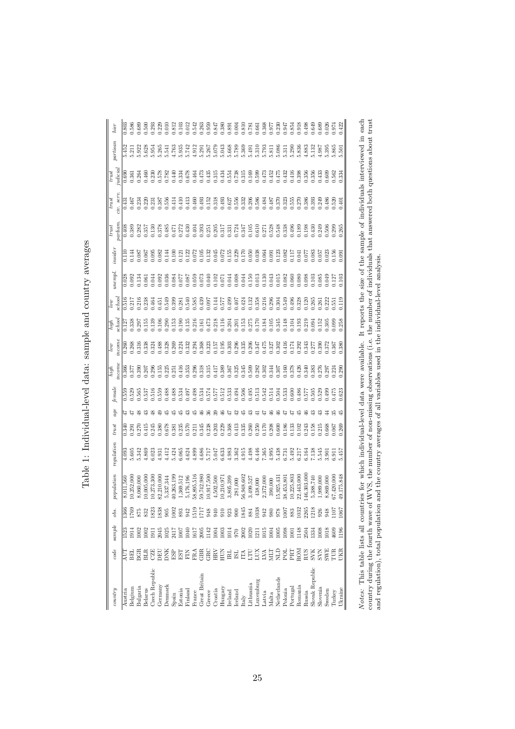| country                                                                                                                                                | code        | sample           | obs.         | population                                                                      | requlation | trust | age            | female | ncom<br>high | ncom<br>low | $\emph{school}$<br>high | school<br>low           | yunempl                    | insider | parliam<br>trust                 | civ. seri<br>trust                   | judicial<br>$_{trust}$  | partisan                                 | hier                    |
|--------------------------------------------------------------------------------------------------------------------------------------------------------|-------------|------------------|--------------|---------------------------------------------------------------------------------|------------|-------|----------------|--------|--------------|-------------|-------------------------|-------------------------|----------------------------|---------|----------------------------------|--------------------------------------|-------------------------|------------------------------------------|-------------------------|
| Austria                                                                                                                                                | Ę           | 1523             | 1366         | 8,011,560                                                                       | 4.093      | 0.340 | 74             | 0.559  | 0.366        | 0.260       | 0.127                   | 0.516                   | 0.028                      | 0.110   | 0.408                            | 0.431                                | 0.690                   | 5.452                                    | 0.803                   |
| Belgium                                                                                                                                                | EE          | 1914             | [769]        | 0,252,000                                                                       | 5.605      | 1.291 |                | 0.529  | 0.377        | 0.268       | 1.338                   | 1.217                   | 0.092                      | 0.144   | 0.389                            | 0.467                                | 1.361                   | $\overline{z}$                           | 1.586                   |
| Bulgaria                                                                                                                                               | ВŒ          | 1002             | 875          | 8,060,000                                                                       | 5.342      | 0.270 | $\frac{8}{2}$  | 1.565  | 0.390        | 0.316       | 1.297                   | 0.216                   |                            | 1.087   | 0.282                            | 0.234                                | 0.264                   | 5.922                                    | 0.689                   |
| Belarus                                                                                                                                                | <b>BLR</b>  | 1002             | 832          | 0,005,000                                                                       | 4.869      | 1415  | ಇ              | 1.537  | 0.207        | 0.338       | 0.155<br>0.139          | 0.238                   | 0.061                      | 1.067   | 0.357                            | 0.220                                | 0.460                   | 5.628                                    | 0.500<br>0.293          |
| Czech Republic                                                                                                                                         | CZE         | 1911             | 1823         | 0,273,300                                                                       | 3.023      | 0.245 |                | 0.516  | 0.296        | 0.324       |                         | 1.464                   | .044                       | 0.095   | 0.130                            | 0.231                                | 0.230                   | 5.954                                    |                         |
| Germany                                                                                                                                                | DEU         | 2045             | 1838         | 82,210,000                                                                      | 4.931      | 1.380 | ₽              | 0.559  | 0.155        | 0.488       | 0.106                   | 1.451                   | 0.092                      | 0.082   | 0.378                            | 0.387                                | 378                     | 5.265                                    | 0.229                   |
| Denmark                                                                                                                                                | DNK         | 1025             | 905          | 5,337,344                                                                       | 4.412      | 0.78  | 15             | 0.488  | 0.225        | 0.328       | 0.290                   | 0.549                   | 036                        | 1144    | 0.485                            | 0.556                                | 0.782                   | 5.541                                    | 0.010                   |
| Spain                                                                                                                                                  | ESP         | 2417             | 1002         | 10,263,199                                                                      | 5.424      | 1.381 | 15             | 0.488  | 0.251        | 0.269       | 1.53                    | 0.399                   | 0.084                      | 0.100   | 0.471                            | 0.414                                | 0.440                   | 4.763                                    | 0.812                   |
| Estonia                                                                                                                                                | EST         | 1007             | 893          | 1,369,512                                                                       | 6.065      | 1.235 | 15             | 0.534  | 0.416        | 0.224       | 0.190                   | 0.281                   | 1.077                      | 0.121   | 0.272                            | 0.410                                | 0.334                   | 5.935                                    | 0.103                   |
| Finland                                                                                                                                                | FIN         | 040              | 942          | 5,176,196                                                                       | 4.624      | 0.570 |                | 167.0  | 0.353        | 0.332       | 0.135                   | 0.540                   | 1.087                      | 0.122   | 0.430                            | 0.413                                | 0.678                   | 5.742                                    | 0.012                   |
| France                                                                                                                                                 | FRA         | 1617             |              | 58,895,516                                                                      | 4.899      | 1.211 | 15             | 0.498  | 0.296        | 0.294       | 0.216                   | 0.585                   | 0.059                      | 0.072   | 0.404                            | 0.460                                | 0.464                   |                                          |                         |
| Great Britain                                                                                                                                          | GBR         | 2005             | 1519<br>1717 | 59,742,980                                                                      | 4.686      | 1.345 | $\frac{6}{4}$  | 0.534  | 0.318        | 0.368       | $0.161$<br>$0.473$      |                         | 0.073<br>0.040<br>0.102    | 0.105   | 0.393                            | 0.493                                | 0.473<br>0.435<br>0.315 | $4.912$<br>$5.291$<br>$5.367$<br>$5.079$ | 1.542<br>0.263<br>0.937 |
| Greece                                                                                                                                                 | GRC         | 1142             | 948          | 10,917,500                                                                      | 5.717      | 0.238 |                | 0.574  | 0.315        | 0.323       |                         | 0.439<br>0.097          |                            | 0.132   | 0.251                            | 0.152                                |                         |                                          |                         |
| Croatia                                                                                                                                                | Ě           | 1004             | 940          | 4,502,500                                                                       | 5.047      |       | 29             | 0.577  | 0.417        | 0.157       | 0.218                   | 0.144                   |                            | 0.045   | 0.205                            | 0.318                                |                         |                                          |                         |
| Hungary                                                                                                                                                | HUN         | 1003             | 910          | 10,210,971                                                                      | 6.633      | 0.229 | 46             | 0.512  | 0.389        | 0.195       | 0.116                   | 0.577                   | 0.071                      | 0.072   | 0.317                            | 0.493                                | 0.434                   | 5.043                                    | 0.380                   |
| Ireland                                                                                                                                                | E           | 1014             | 923          | 3,805,399                                                                       | 4.983      | 1.368 | 47             | 0.533  | 0.367        | 0.303       | 0.204                   | 0.499                   | 0.044                      | 0.155   | 0.331                            | 0.627                                | 0.554                   | 5.668<br>5.789                           | 0.891                   |
| Iceland                                                                                                                                                | ISL         | 970              | 900          | 281,000                                                                         | 3.362      | 0.413 | $\overline{5}$ | 0.494  | 0.325        | 0.296       | 0.201                   | 0.407                   | 0.008                      | 0.229   | 0.724                            | 0.556                                | 0.738                   |                                          | 0.004                   |
| Italy                                                                                                                                                  | É           | 2002             | 1845         | 56,948,602                                                                      | 4.915      | 1.335 | 芯              | 0.506  | 0.345        | 0.335       | 1.53                    | 0.424                   | 0.044                      | 0.170   | 0.347                            | 0.332                                | 0.315                   | 5.369                                    | 0.810                   |
| Lithuania                                                                                                                                              | E           | 1020             | 884          | 3,499,527                                                                       | 4.498      | 0.260 | ಇ              | 0.495  | 0.509        | 0.206       | 0.275                   | 0.132                   | 0.150                      | 0.050   | 0.105                            | 0.206                                | 0.169                   | 5.491                                    | 0.781                   |
| Luxemburg                                                                                                                                              | LUX         | $\frac{121}{21}$ | 1038         | 438,000                                                                         | 6.446      | 0.250 |                | 0.513  | 0.282        | 1.347       | 0.170                   |                         | 0.013                      | 0.038   |                                  | 0.586                                | 0.599                   |                                          | 0.661                   |
| Latvia                                                                                                                                                 | LVA         | 1015             | 942          | 2,372,000                                                                       | 7.365      | 0.170 |                | 0.542  | 0.302        | 0.475       | 0.184                   | 0.358<br>0.216<br>0.296 | 0.130                      | 0.064   | 0.610<br>0.271<br>0.538<br>0.548 | 0.484                                | 0.473<br>0.452          | 5.310<br>5.793<br>5.811                  | 0.368<br>0.977          |
| Malta                                                                                                                                                  | EIN         | 1004             | 980          | 390,000                                                                         | 4.995      | 0.208 |                | 0.514  | 0.344        | 0.327       | 0.105                   |                         | 0.043                      | 0.091   |                                  | 0.487                                |                         |                                          |                         |
| Netherlands                                                                                                                                            | Ê           | 1005             | 978          | 5,925,431                                                                       | 5.438      | 0.600 | 9              | 0.504  | 0.307        | 0.302       | 0.345                   | 0.304                   | 0.015                      | 0.123   |                                  | 0.370                                | 0.475                   | 5.086                                    | 0.230                   |
| Polonia                                                                                                                                                | pol         | 1098             | 1007         | 38,453,801                                                                      | 6.731      | 0.186 |                | 0.533  | 0.160        | 1.416       | 0.148                   | 0.549                   | 0.82                       | 0.082   | 0.338                            | 0.323                                | 0.432                   | 5.311                                    | 1.947                   |
| Portugal                                                                                                                                               | ERL         | 1001             | 883          | 10,225,803                                                                      | 5.492      | 1.33  |                | 0.600  | 0.378        | 0.174       | 1.104                   | 0.496                   | 0.060                      | NП      | 0.496                            | 0.555                                | 0.416                   | 5.290                                    | 1.854                   |
| Romania                                                                                                                                                | MOS         | 1148             | 1032         | 22,443,000                                                                      | 6.217      | 0.102 | 15             | 0.486  | 0.426        | 0.292       | 1.193                   | 0.328                   | 0.080                      | 041     | 0.189                            | 0.270                                | 0.398                   | 5.836                                    | 0.918                   |
| Russia                                                                                                                                                 | RUS         | 2504             | 2265         | 46,303,000                                                                      | 6.164      | 1.243 |                | 1.577  | 0.340        | 1.343       | 0.219                   | 0.120                   | 0.088                      | 0.077   | 0.198                            | 0.386                                | 1.356                   | 1.883                                    |                         |
| Slovak Republic                                                                                                                                        | <b>SVIK</b> | 1334             | 1218         | 5,388,740                                                                       | 7.138      | 1.158 |                | 0.505  | 0.383        | 0.277       | 0.094                   | 0.265                   | 0.103                      | 0.083   | 0.430                            | 0.393                                | 1,356                   | 5.132                                    | 0.649                   |
| Slovenia                                                                                                                                               | <b>KAS</b>  | 1008             | 926          | 1,989,000                                                                       | 5.545      | ).215 |                |        | 0.276        | 0.390       | 1.152                   | 0.261                   | 0.085                      | 0.057   | 0.249                            | 0.249                                | 0.433                   | 1.987                                    | 0.689                   |
| Sweden                                                                                                                                                 | <b>SWE</b>  | 1018             | 948          | 8,869,000                                                                       | 3.901      | 1.668 |                | 0.499  | 1.297        | 0.372       | 0.305                   | 0.222                   | 0.049                      | 0.023   | 0.506                            | 0.486                                | 0.609                   | 5.395                                    | 0.026                   |
| Turkey                                                                                                                                                 | E           | 4609             | <b>107</b>   | 57,420,000                                                                      | 3.911      |       |                | .475   | 0.224        | 1.367       | 0.099                   | 551                     | 127                        | 0.156   | 0.299                            | 0.520                                | 1.562                   | 5.865                                    | 1.974                   |
| Ukraine                                                                                                                                                | <b>JKR</b>  | 1196             | .067         | 19,175,848                                                                      | 5.457      | .269  |                |        | .290         | .380        | .258                    | 119                     |                            | 0.091   | 0.265                            | 0.401                                |                         | $\overline{501}$                         | 1.422                   |
|                                                                                                                                                        |             |                  |              |                                                                                 |            |       |                |        |              |             |                         |                         |                            |         |                                  |                                      |                         |                                          |                         |
| Notes: This table lists all countries for which individual-level data were available.                                                                  |             |                  |              |                                                                                 |            |       |                |        |              |             |                         |                         | It reports the size of the |         |                                  | sample of individuals interviewed in |                         |                                          | each                    |
|                                                                                                                                                        |             |                  |              |                                                                                 |            |       |                |        |              |             |                         |                         |                            |         |                                  |                                      |                         |                                          |                         |
| country during the fourth wave of WVS, the number of non-missing observations (i.e. the number of individuals that answered both questions about trust |             |                  |              |                                                                                 |            |       |                |        |              |             |                         |                         |                            |         |                                  |                                      |                         |                                          |                         |
| and $regulation$ , total population                                                                                                                    |             |                  |              | and the country averages of all variables used in the individual-level analysis |            |       |                |        |              |             |                         |                         |                            |         |                                  |                                      |                         |                                          |                         |
|                                                                                                                                                        |             |                  |              |                                                                                 |            |       |                |        |              |             |                         |                         |                            |         |                                  |                                      |                         |                                          |                         |

Table 1: Individual-level data: sample and country averages Table 1: Individual-level data: sample and country averages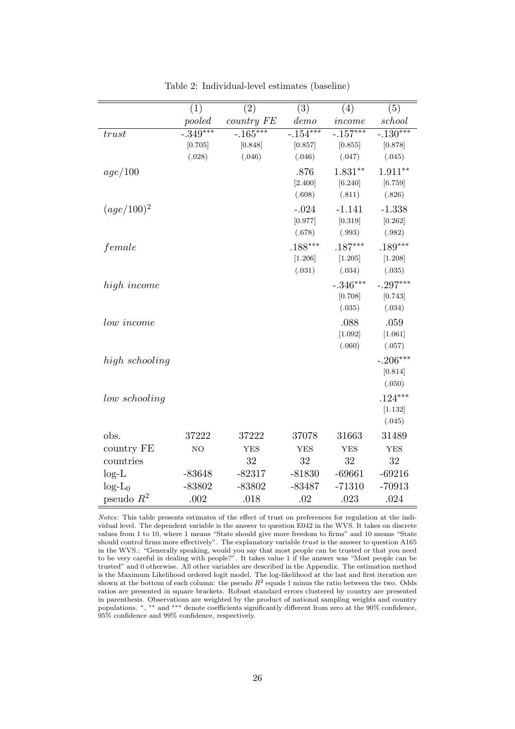|                | (1)            | (2)         | (3)        | (4)         | (5)        |
|----------------|----------------|-------------|------------|-------------|------------|
|                | pooled         | country FE  | demo       | income      | school     |
| trust          | $-0.349***$    | $-0.165***$ | $-.154***$ | $-0.157***$ | $-.130***$ |
|                | [0.705]        | [0.848]     | [0.857]    | [0.855]     | [0.878]    |
|                | (.028)         | (.046)      | (.046)     | (.047)      | (.045)     |
| age/100        |                |             | .876       | $1.831**$   | $1.911**$  |
|                |                |             | [2.400]    | [6.240]     | [6.759]    |
|                |                |             | (.608)     | (.811)      | (.826)     |
| $(age/100)^2$  |                |             | $-.024$    | $-1.141$    | $-1.338$   |
|                |                |             | [0.977]    | [0.319]     | [0.262]    |
|                |                |             | (.678)     | (.993)      | (.982)     |
| female         |                |             | $.188***$  | $.187***$   | $.189***$  |
|                |                |             | [1.206]    | [1.205]     | [1.208]    |
|                |                |             | (.031)     | (.034)      | (.035)     |
| high income    |                |             |            | $-.346***$  | $-.297***$ |
|                |                |             |            | [0.708]     | [0.743]    |
|                |                |             |            | (.035)      | (.034)     |
| low income     |                |             |            | .088        | .059       |
|                |                |             |            | [1.092]     | [1.061]    |
|                |                |             |            | (.060)      | (.057)     |
| high schooling |                |             |            |             | $-.206***$ |
|                |                |             |            |             | [0.814]    |
|                |                |             |            |             | (.050)     |
| low schooling  |                |             |            |             | $.124***$  |
|                |                |             |            |             | [1.132]    |
|                |                |             |            |             | (.045)     |
| obs.           | 37222          | 37222       | 37078      | 31663       | 31489      |
| country FE     | N <sub>O</sub> | <b>YES</b>  | <b>YES</b> | <b>YES</b>  | <b>YES</b> |
| countries      |                | 32          | 32         | 32          | 32         |
| $log-L$        | $-83648$       | $-82317$    | $-81830$   | $-69661$    | $-69216$   |
| $log-L_0$      | $-83802$       | $-83802$    | $-83487$   | $-71310$    | $-70913$   |
| pseudo $R^2$   | .002           | .018        | .02        | .023        | .024       |

Table 2: Individual-level estimates (baseline)

Notes: This table presents estimates of the effect of trust on preferences for regulation at the individual level. The dependent variable is the answer to question E042 in the WVS. It takes on discrete values from 1 to 10, where 1 means "State should give more freedom to firms" and 10 means "State should control firms more effectively". The explanatory variable trust is the answer to question A165 in the WVS.: "Generally speaking, would you say that most people can be trusted or that you need to be very careful in dealing with people?". It takes value 1 if the answer was "Most people can be trusted" and 0 otherwise. All other variables are described in the Appendix. The estimation method is the Maximum Likelihood ordered logit model. The log-likelihood at the last and first iteration are shown at the bottom of each column: the pseudo  $R^2$  equals 1 minus the ratio between the two. Odds ratios are presented in square brackets. Robust standard errors clustered by country are presented in parenthesis. Observations are weighted by the product of national sampling weights and country populations.  $*, **$  and \*\*\* denote coefficients significantly different from zero at the 90% confidence, 95% confidence and 99% confidence, respectively.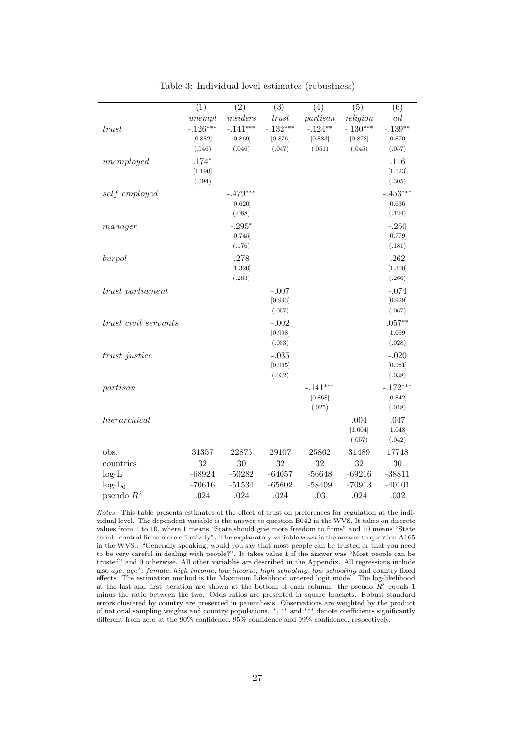|                      | (1)         | $\overline{(2)}$ | (3)               | (4)               | (5)             | (6)               |
|----------------------|-------------|------------------|-------------------|-------------------|-----------------|-------------------|
|                      | unempl      | insiders         | trust             | partisan          | religion        | $all$             |
| trust                | $-0.126***$ | $-0.141***$      | $-0.132***$       | $-0.124***$       | $-0.130***$     | $-.139**$         |
|                      | [0.882]     | [0.869]          | [0.876]           | [0.883]           | [0.878]         | [0.870]           |
|                      | (.046)      | (.046)           | (.047)            | (.051)            | (.045)          | (.057)            |
| unemployed           | $.174*$     |                  |                   |                   |                 | .116              |
|                      | [1.190]     |                  |                   |                   |                 | [1.123]           |
|                      | (.094)      |                  |                   |                   |                 | (.305)            |
| self employed        |             | $-.479***$       |                   |                   |                 | $-.453***$        |
|                      |             | [0.620]          |                   |                   |                 | [0.636]           |
|                      |             | (.088)           |                   |                   |                 | (.124)            |
| $m$ anager           |             | $-.295*$         |                   |                   |                 | $-.250$           |
|                      |             | [0.745]          |                   |                   |                 | [0.779]           |
|                      |             | (.176)           |                   |                   |                 | (.181)            |
| burpol               |             | .278             |                   |                   |                 | .262              |
|                      |             | [1.320]          |                   |                   |                 | [1.300]           |
|                      |             | (.283)           |                   |                   |                 | (.266)            |
| trust parliament     |             |                  | $-.007$           |                   |                 | $-.074$           |
|                      |             |                  | [0.993]           |                   |                 | [0.929]           |
|                      |             |                  | (.057)            |                   |                 | (.067)            |
| trust civil servants |             |                  | $-.002$           |                   |                 | $.057**$          |
|                      |             |                  | [0.998]           |                   |                 | [1.059]           |
|                      |             |                  | (.033)            |                   |                 | (.028)            |
| trust justice        |             |                  | $-.035$           |                   |                 | $-.020$           |
|                      |             |                  | [0.965]<br>(.032) |                   |                 | [0.981]<br>(.038) |
|                      |             |                  |                   |                   |                 |                   |
| partisan             |             |                  |                   | $-.141***$        |                 | $-.172***$        |
|                      |             |                  |                   | [0.868]<br>(.025) |                 | [0.842]<br>(.018) |
|                      |             |                  |                   |                   |                 |                   |
| hierarchical         |             |                  |                   |                   | .004<br>[1.004] | .047<br>[1.048]   |
|                      |             |                  |                   |                   | (.057)          | (.042)            |
| obs.                 | 31357       | 22875            | 29107             | 25862             | 31489           | 17748             |
| countries            | 32          | 30               | 32                | 32                | 32              | 30                |
| $log-L$              | $-68924$    | $-50282$         | $-64057$          | $-56648$          | $-69216$        | $-38811$          |
| $log-L_0$            | $-70616$    | $-51534$         | $-65602$          | $-58409$          | $-70913$        | $-40101$          |
| pseudo $R^2$         | $.024\,$    | .024             | .024              | .03               | .024            | .032              |
|                      |             |                  |                   |                   |                 |                   |

Table 3: Individual-level estimates (robustness)

Notes: This table presents estimates of the effect of trust on preferences for regulation at the individual level. The dependent variable is the answer to question E042 in the WVS. It takes on discrete values from 1 to 10, where 1 means "State should give more freedom to firms" and 10 means "State should control firms more effectively". The explanatory variable trust is the answer to question A165 in the WVS.: "Generally speaking, would you say that most people can be trusted or that you need to be very careful in dealing with people?". It takes value 1 if the answer was "Most people can be trusted" and 0 otherwise. All other variables are described in the Appendix. All regressions include also age, age<sup>2</sup>, female, high income, low income, high schooling, low schooling and country fixed effects. The estimation method is the Maximum Likelihood ordered logit model. The log-likelihood at the last and first iteration are shown at the bottom of each column: the pseudo  $R^2$  equals 1 minus the ratio between the two. Odds ratios are presented in square brackets. Robust standard errors clustered by country are presented in parenthesis. Observations are weighted by the product of national sampling weights and country populations. <sup>∗</sup>, ∗∗ and ∗∗∗ denote coefficients significantly different from zero at the 90% confidence, 95% confidence and 99% confidence, respectively.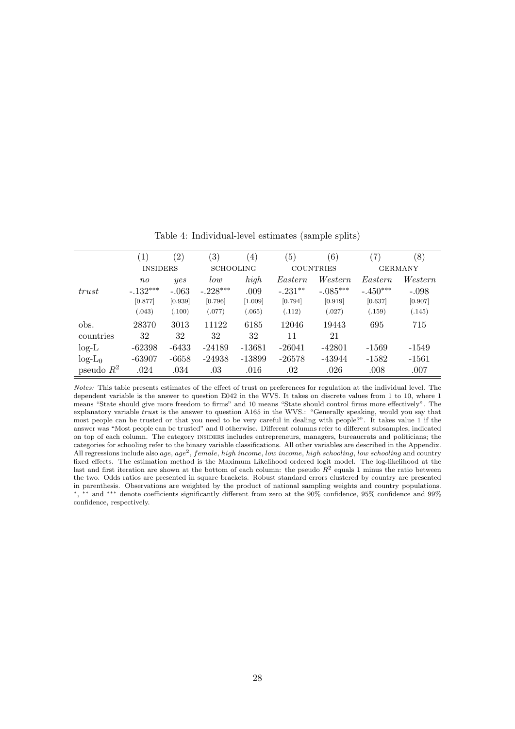|              | $\left( 1\right)$ | $^{\prime}2)$ | $\left( 3\right)$ | $\left( 4\right)$ | $\left(5\right)$ | $\left( 6\right)$ | (7)        | (8)            |
|--------------|-------------------|---------------|-------------------|-------------------|------------------|-------------------|------------|----------------|
|              | <b>INSIDERS</b>   |               | <b>SCHOOLING</b>  |                   |                  | <b>COUNTRIES</b>  |            | <b>GERMANY</b> |
|              | $n_{0}$           | yes           | low               | high              | Eastern          | Western           | Eastern    | Western        |
| trust        | $-.132***$        | $-.063$       | $-.228***$        | .009              | $-.231**$        | $-.085***$        | $-.450***$ | $-.098$        |
|              | [0.877]           | [0.939]       | [0.796]           | [1.009]           | [0.794]          | [0.919]           | [0.637]    | [0.907]        |
|              | (.043)            | (.100)        | (.077)            | (.065)            | (.112)           | (.027)            | (.159)     | (.145)         |
| obs.         | 28370             | 3013          | 11122             | 6185              | 12046            | 19443             | 695        | 715            |
| countries    | 32                | 32            | 32                | 32                | 11               | 21                |            |                |
| $log-L$      | $-62398$          | $-6433$       | $-24189$          | $-13681$          | $-26041$         | $-42801$          | $-1569$    | -1549          |
| $log-L_0$    | $-63907$          | $-6658$       | $-24938$          | $-13899$          | $-26578$         | -43944            | $-1582$    | $-1561$        |
| pseudo $R^2$ | .024              | .034          | .03               | .016              | .02              | .026              | .008       | .007           |

Table 4: Individual-level estimates (sample splits)

Notes: This table presents estimates of the effect of trust on preferences for regulation at the individual level. The dependent variable is the answer to question E042 in the WVS. It takes on discrete values from 1 to 10, where 1 means "State should give more freedom to firms" and 10 means "State should control firms more effectively". The explanatory variable trust is the answer to question A165 in the WVS.: "Generally speaking, would you say that most people can be trusted or that you need to be very careful in dealing with people?". It takes value 1 if the answer was "Most people can be trusted" and 0 otherwise. Different columns refer to different subsamples, indicated on top of each column. The category INSIDERS includes entrepreneurs, managers, bureaucrats and politicians; the categories for schooling refer to the binary variable classifications. All other variables are described in the Appendix. All regressions include also age, age<sup>2</sup>, female, high income, low income, high schooling, low schooling and country fixed effects. The estimation method is the Maximum Likelihood ordered logit model. The log-likelihood at the last and first iteration are shown at the bottom of each column: the pseudo  $R^2$  equals 1 minus the ratio between the two. Odds ratios are presented in square brackets. Robust standard errors clustered by country are presented in parenthesis. Observations are weighted by the product of national sampling weights and country populations. ∗, ∗∗ and ∗∗∗ denote coefficients significantly different from zero at the 90% confidence, 95% confidence and 99% confidence, respectively.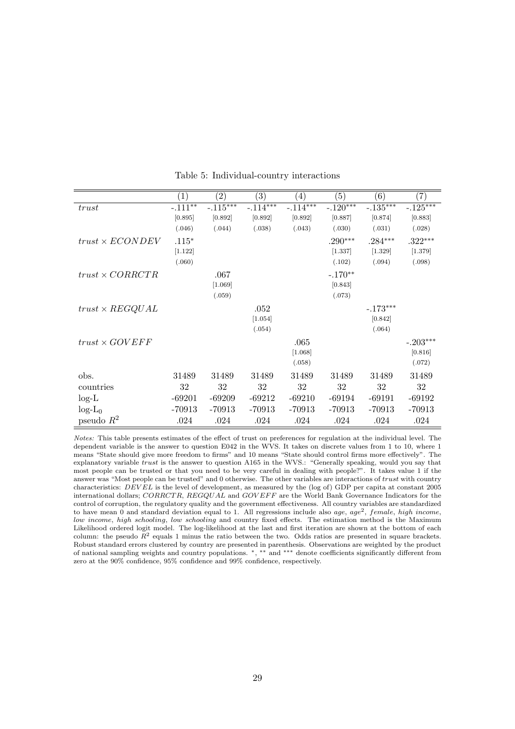|                        | $\left( 1\right)$ | $\left( 2\right)$ | $\left( 3\right)$ | $\left(4\right)$ | $\left( 5\right)$ | (6)        | $\left( 7\right)$ |
|------------------------|-------------------|-------------------|-------------------|------------------|-------------------|------------|-------------------|
| trust                  | $-.111**$         | $-.115***$        | $-.114***$        | $-.114***$       | $-.120***$        | $-.135***$ | $-.125***$        |
|                        | [0.895]           | [0.892]           | [0.892]           | [0.892]          | [0.887]           | [0.874]    | [0.883]           |
|                        | (.046)            | (.044)            | (.038)            | (.043)           | (.030)            | (.031)     | (.028)            |
| $trust \times ECONDEV$ | $.115*$           |                   |                   |                  | $.290***$         | $.284***$  | $.322***$         |
|                        | [1.122]           |                   |                   |                  | [1.337]           | [1.329]    | [1.379]           |
|                        | (.060)            |                   |                   |                  | (.102)            | (.094)     | (.098)            |
| $trust \times CORRCTR$ |                   | .067              |                   |                  | $-.170**$         |            |                   |
|                        |                   | [1.069]           |                   |                  | [0.843]           |            |                   |
|                        |                   | (.059)            |                   |                  | (.073)            |            |                   |
| $trust \times REGQUAL$ |                   |                   | .052              |                  |                   | $-.173***$ |                   |
|                        |                   |                   | [1.054]           |                  |                   | [0.842]    |                   |
|                        |                   |                   | (.054)            |                  |                   | (.064)     |                   |
| $trust \times GOVEFF$  |                   |                   |                   | .065             |                   |            | $-.203***$        |
|                        |                   |                   |                   | [1.068]          |                   |            | [0.816]           |
|                        |                   |                   |                   | (.058)           |                   |            | (.072)            |
| obs.                   | 31489             | 31489             | 31489             | 31489            | 31489             | 31489      | 31489             |
| countries              | 32                | 32                | 32                | 32               | 32                | 32         | 32                |
| $log-L$                | $-69201$          | $-69209$          | $-69212$          | $-69210$         | $-69194$          | $-69191$   | $-69192$          |
| $log-L_0$              | $-70913$          | $-70913$          | $-70913$          | $-70913$         | $-70913$          | $-70913$   | $-70913$          |
| pseudo $R^2$           | .024              | .024              | .024              | .024             | .024              | .024       | .024              |

Table 5: Individual-country interactions

Notes: This table presents estimates of the effect of trust on preferences for regulation at the individual level. The dependent variable is the answer to question E042 in the WVS. It takes on discrete values from 1 to 10, where 1 means "State should give more freedom to firms" and 10 means "State should control firms more effectively". The explanatory variable *trust* is the answer to question A165 in the WVS.: "Generally speaking, would you say that most people can be trusted or that you need to be very careful in dealing with people?". It takes value 1 if the answer was "Most people can be trusted" and 0 otherwise. The other variables are interactions of trust with country characteristics: DEVEL is the level of development, as measured by the (log of) GDP per capita at constant 2005 international dollars; CORRCTR, REGQUAL and GOVEFF are the World Bank Governance Indicators for the control of corruption, the regulatory quality and the government effectiveness. All country variables are standardized to have mean 0 and standard deviation equal to 1. All regressions include also age,  $age^2$ , female, high income, low income, high schooling, low schooling and country fixed effects. The estimation method is the Maximum Likelihood ordered logit model. The log-likelihood at the last and first iteration are shown at the bottom of each column: the pseudo  $R^2$  equals 1 minus the ratio between the two. Odds ratios are presented in square brackets. Robust standard errors clustered by country are presented in parenthesis. Observations are weighted by the product of national sampling weights and country populations. <sup>∗</sup>, ∗∗ and ∗∗∗ denote coefficients significantly different from zero at the 90% confidence, 95% confidence and 99% confidence, respectively.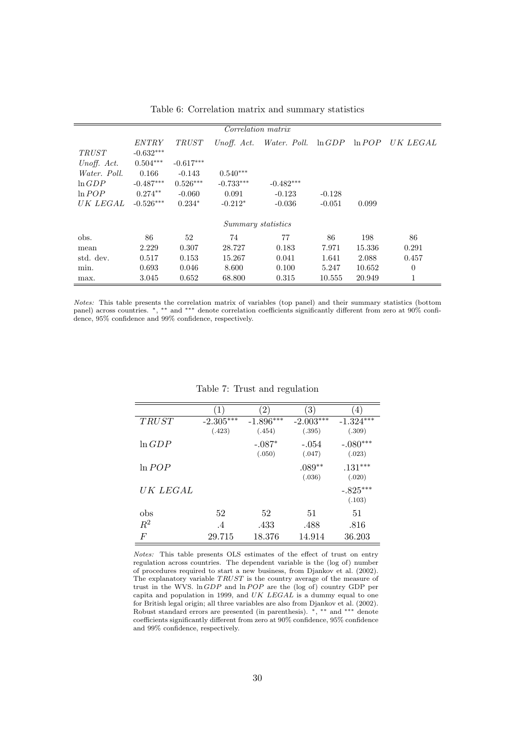|                 |              |              | Correlation matrix |                          |           |           |              |
|-----------------|--------------|--------------|--------------------|--------------------------|-----------|-----------|--------------|
|                 | <i>ENTRY</i> | <i>TRUST</i> |                    | Unoff. Act. Water. Poll. | $\ln GDP$ | $\ln POP$ | UK LEGAL     |
| <i>TRUST</i>    | $-0.632***$  |              |                    |                          |           |           |              |
| Unoff. Act.     | $0.504***$   | $-0.617***$  |                    |                          |           |           |              |
| Water. Poll.    | 0.166        | $-0.143$     | $0.540***$         |                          |           |           |              |
| $\ln GDP$       | $-0.487***$  | $0.526***$   | $-0.733***$        | $-0.482***$              |           |           |              |
| ln POP          | $0.274**$    | $-0.060$     | 0.091              | $-0.123$                 | $-0.128$  |           |              |
| <i>UK LEGAL</i> | $-0.526***$  | $0.234*$     | $-0.212*$          | $-0.036$                 | $-0.051$  | 0.099     |              |
|                 |              |              | Summary statistics |                          |           |           |              |
| obs.            | 86           | 52           | 74                 | 77                       | 86        | 198       | 86           |
| mean            | 2.229        | 0.307        | 28.727             | 0.183                    | 7.971     | 15.336    | 0.291        |
| std. dev.       | 0.517        | 0.153        | 15.267             | 0.041                    | 1.641     | 2.088     | 0.457        |
| min.            | 0.693        | 0.046        | 8.600              | 0.100                    | 5.247     | 10.652    | $\theta$     |
| max.            | 3.045        | 0.652        | 68.800             | 0.315                    | 10.555    | 20.949    | $\mathbf{1}$ |

Table 6: Correlation matrix and summary statistics

Notes: This table presents the correlation matrix of variables (top panel) and their summary statistics (bottom panel) across countries. \*, \*\* and \*\*\* denote correlation coefficients significantly different from zero at 90% confidence, 95% confidence and 99% confidence, respectively.

|                 | $\left(1\right)$ | (2)         | $^{\rm (3)}$ | $\left(4\right)$ |
|-----------------|------------------|-------------|--------------|------------------|
| TRUST           | $-2.305***$      | $-1.896***$ | $-2.003***$  | $-1.324***$      |
|                 | (.423)           | (.454)      | (.395)       | (.309)           |
| $\ln GDP$       |                  | $-.087*$    | $-.054$      | $-.080***$       |
|                 |                  | (.050)      | (.047)       | (.023)           |
| $\ln POP$       |                  |             | $.089**$     | $.131***$        |
|                 |                  |             | (.036)       | (.020)           |
| <i>UK LEGAL</i> |                  |             |              | $-.825***$       |
|                 |                  |             |              | (.103)           |
| obs             | 52               | 52          | 51           | 51               |
| $R^2$           | .4               | .433        | .488         | .816             |
| $\,F$           | 29.715           | 18.376      | 14.914       | 36.203           |

#### Table 7: Trust and regulation

Notes: This table presents OLS estimates of the effect of trust on entry regulation across countries. The dependent variable is the (log of) number of procedures required to start a new business, from Djankov et al. (2002). The explanatory variable TRUST is the country average of the measure of trust in the WVS.  $\ln GDP$  and  $\ln POP$  are the (log of) country GDP per capita and population in 1999, and UK LEGAL is a dummy equal to one for British legal origin; all three variables are also from Djankov et al. (2002). Robust standard errors are presented (in parenthesis). \*, \*\* and \*\*\* denote coefficients significantly different from zero at 90% confidence, 95% confidence and 99% confidence, respectively.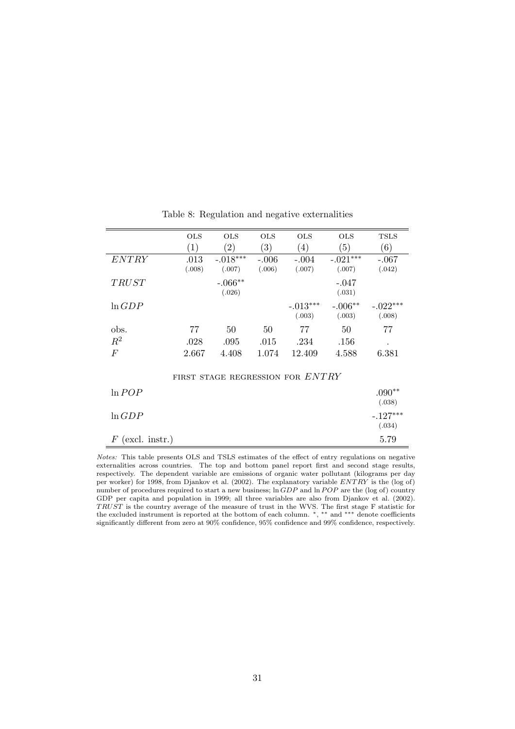|                    | <b>OLS</b> | <b>OLS</b>                       | <b>OLS</b> | <b>OLS</b> | <b>OLS</b> | <b>TSLS</b> |
|--------------------|------------|----------------------------------|------------|------------|------------|-------------|
|                    | (1)        | (2)                              | (3)        | (4)        | (5)        | (6)         |
| <i>ENTRY</i>       | .013       | $-.018***$                       | $-.006$    | $-.004$    | $-.021***$ | $-.067$     |
|                    | (.008)     | (.007)                           | (.006)     | (.007)     | (.007)     | (.042)      |
| <b>TRUST</b>       |            | $-.066**$                        |            |            | $-.047$    |             |
|                    |            | (.026)                           |            |            | (.031)     |             |
| $\ln GDP$          |            |                                  |            | $-.013***$ | $-.006**$  | $-.022***$  |
|                    |            |                                  |            | (.003)     | (.003)     | (.008)      |
| obs.               | 77         | 50                               | 50         | 77         | 50         | 77          |
| $R^2$              | .028       | .095                             | .015       | .234       | .156       |             |
| $\,F$              | 2.667      | 4.408                            | 1.074      | 12.409     | 4.588      | 6.381       |
|                    |            |                                  |            |            |            |             |
|                    |            | FIRST STAGE REGRESSION FOR ENTRY |            |            |            |             |
| $\ln POP$          |            |                                  |            |            |            | $.090**$    |
|                    |            |                                  |            |            |            | (.038)      |
| $\ln GDP$          |            |                                  |            |            |            | $-.127***$  |
|                    |            |                                  |            |            |            | (.034)      |
| $F$ (excl. instr.) |            |                                  |            |            |            | 5.79        |

Table 8: Regulation and negative externalities

Notes: This table presents OLS and TSLS estimates of the effect of entry regulations on negative externalities across countries. The top and bottom panel report first and second stage results, respectively. The dependent variable are emissions of organic water pollutant (kilograms per day per worker) for 1998, from Djankov et al. (2002). The explanatory variable  $ENTRY$  is the (log of) number of procedures required to start a new business;  $\ln GDP$  and  $\ln POP$  are the (log of) country GDP per capita and population in 1999; all three variables are also from Djankov et al. (2002). TRUST is the country average of the measure of trust in the WVS. The first stage F statistic for the excluded instrument is reported at the bottom of each column. <sup>∗</sup>, ∗∗ and ∗∗∗ denote coefficients significantly different from zero at 90% confidence, 95% confidence and 99% confidence, respectively.